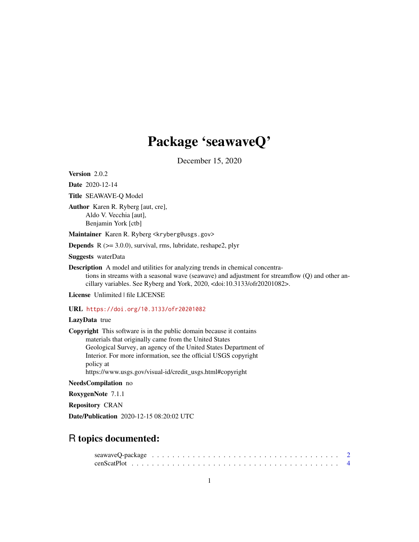# Package 'seawaveQ'

December 15, 2020

<span id="page-0-0"></span>Version 2.0.2

Date 2020-12-14

Title SEAWAVE-Q Model

Author Karen R. Ryberg [aut, cre], Aldo V. Vecchia [aut], Benjamin York [ctb]

Maintainer Karen R. Ryberg <kryberg@usgs.gov>

**Depends**  $R$  ( $>= 3.0.0$ ), survival, rms, lubridate, reshape2, plyr

Suggests waterData

Description A model and utilities for analyzing trends in chemical concentrations in streams with a seasonal wave (seawave) and adjustment for streamflow (Q) and other ancillary variables. See Ryberg and York, 2020, <doi:10.3133/ofr20201082>.

License Unlimited | file LICENSE

URL <https://doi.org/10.3133/ofr20201082>

# LazyData true

Copyright This software is in the public domain because it contains materials that originally came from the United States Geological Survey, an agency of the United States Department of Interior. For more information, see the official USGS copyright policy at https://www.usgs.gov/visual-id/credit\_usgs.html#copyright

NeedsCompilation no

RoxygenNote 7.1.1

Repository CRAN

Date/Publication 2020-12-15 08:20:02 UTC

# R topics documented: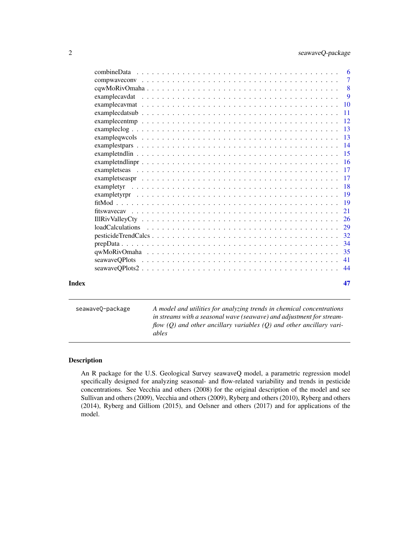<span id="page-1-0"></span>

| $-11$ |    |
|-------|----|
|       |    |
|       |    |
|       |    |
|       |    |
|       |    |
|       |    |
|       |    |
|       |    |
|       |    |
|       |    |
|       |    |
|       |    |
|       |    |
|       |    |
|       |    |
|       |    |
|       |    |
|       |    |
|       |    |
|       |    |
|       |    |
|       |    |
|       |    |
|       |    |
| Index | 47 |

seawaveQ-package *A model and utilities for analyzing trends in chemical concentrations in streams with a seasonal wave (seawave) and adjustment for streamflow (Q) and other ancillary variables (Q) and other ancillary variables*

# Description

An R package for the U.S. Geological Survey seawaveQ model, a parametric regression model specifically designed for analyzing seasonal- and flow-related variability and trends in pesticide concentrations. See Vecchia and others (2008) for the original description of the model and see Sullivan and others (2009), Vecchia and others (2009), Ryberg and others (2010), Ryberg and others (2014), Ryberg and Gilliom (2015), and Oelsner and others (2017) and for applications of the model.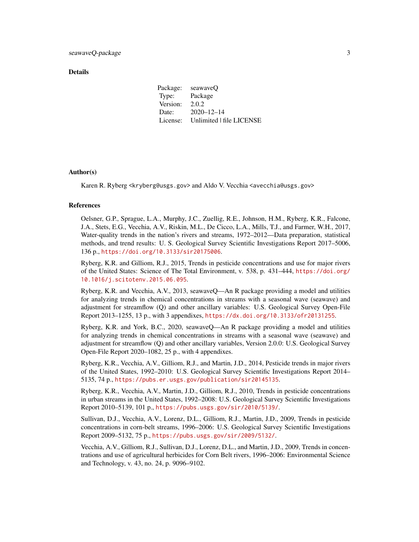#### Details

| Package: | seawayeO                 |
|----------|--------------------------|
| Type:    | Package                  |
| Version: | 2.0.2                    |
| Date:    | $2020 - 12 - 14$         |
| License: | Unlimited   file LICENSE |

# Author(s)

Karen R. Ryberg <kryberg@usgs.gov> and Aldo V. Vecchia <avecchia@usgs.gov>

#### References

Oelsner, G.P., Sprague, L.A., Murphy, J.C., Zuellig, R.E., Johnson, H.M., Ryberg, K.R., Falcone, J.A., Stets, E.G., Vecchia, A.V., Riskin, M.L., De Cicco, L.A., Mills, T.J., and Farmer, W.H., 2017, Water-quality trends in the nation's rivers and streams, 1972–2012—Data preparation, statistical methods, and trend results: U. S. Geological Survey Scientific Investigations Report 2017–5006, 136 p., <https://doi.org/10.3133/sir20175006>.

Ryberg, K.R. and Gilliom, R.J., 2015, Trends in pesticide concentrations and use for major rivers of the United States: Science of The Total Environment, v. 538, p. 431–444, [https://doi.org/](https://doi.org/10.1016/j.scitotenv.2015.06.095) [10.1016/j.scitotenv.2015.06.095](https://doi.org/10.1016/j.scitotenv.2015.06.095).

Ryberg, K.R. and Vecchia, A.V., 2013, seawaveQ—An R package providing a model and utilities for analyzing trends in chemical concentrations in streams with a seasonal wave (seawave) and adjustment for streamflow (Q) and other ancillary variables: U.S. Geological Survey Open-File Report 2013–1255, 13 p., with 3 appendixes, <https://dx.doi.org/10.3133/ofr20131255>.

Ryberg, K.R. and York, B.C., 2020, seawaveQ—An R package providing a model and utilities for analyzing trends in chemical concentrations in streams with a seasonal wave (seawave) and adjustment for streamflow (Q) and other ancillary variables, Version 2.0.0: U.S. Geological Survey Open-File Report 2020–1082, 25 p., with 4 appendixes.

Ryberg, K.R., Vecchia, A.V., Gilliom, R.J., and Martin, J.D., 2014, Pesticide trends in major rivers of the United States, 1992–2010: U.S. Geological Survey Scientific Investigations Report 2014– 5135, 74 p., <https://pubs.er.usgs.gov/publication/sir20145135>.

Ryberg, K.R., Vecchia, A.V., Martin, J.D., Gilliom, R.J., 2010, Trends in pesticide concentrations in urban streams in the United States, 1992–2008: U.S. Geological Survey Scientific Investigations Report 2010–5139, 101 p., <https://pubs.usgs.gov/sir/2010/5139/>.

Sullivan, D.J., Vecchia, A.V., Lorenz, D.L., Gilliom, R.J., Martin, J.D., 2009, Trends in pesticide concentrations in corn-belt streams, 1996–2006: U.S. Geological Survey Scientific Investigations Report 2009–5132, 75 p., <https://pubs.usgs.gov/sir/2009/5132/>.

Vecchia, A.V., Gilliom, R.J., Sullivan, D.J., Lorenz, D.L., and Martin, J.D., 2009, Trends in concentrations and use of agricultural herbicides for Corn Belt rivers, 1996–2006: Environmental Science and Technology, v. 43, no. 24, p. 9096–9102.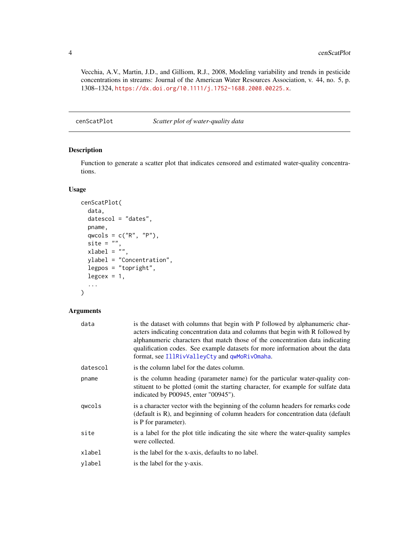Vecchia, A.V., Martin, J.D., and Gilliom, R.J., 2008, Modeling variability and trends in pesticide concentrations in streams: Journal of the American Water Resources Association, v. 44, no. 5, p. 1308–1324, <https://dx.doi.org/10.1111/j.1752-1688.2008.00225.x>.

cenScatPlot *Scatter plot of water-quality data*

# Description

Function to generate a scatter plot that indicates censored and estimated water-quality concentrations.

# Usage

```
cenScatPlot(
  data,
  datescol = "dates",
  pname,
  qwcols = c("R", "P"),
  site = ",
  xlabel = \frac{1}{n},
  ylabel = "Concentration",
  legpos = "topright",
  legcex = 1,
  ...
)
```
# Arguments

| data     | is the dataset with columns that begin with P followed by alphanumeric char-<br>acters indicating concentration data and columns that begin with R followed by<br>alphanumeric characters that match those of the concentration data indicating<br>qualification codes. See example datasets for more information about the data<br>format, see IllRivValleyCty and qwMoRivOmaha. |
|----------|-----------------------------------------------------------------------------------------------------------------------------------------------------------------------------------------------------------------------------------------------------------------------------------------------------------------------------------------------------------------------------------|
| datescol | is the column label for the dates column.                                                                                                                                                                                                                                                                                                                                         |
| pname    | is the column heading (parameter name) for the particular water-quality con-<br>stituent to be plotted (omit the starting character, for example for sulfate data<br>indicated by P00945, enter "00945").                                                                                                                                                                         |
| qwcols   | is a character vector with the beginning of the column headers for remarks code<br>(default is R), and beginning of column headers for concentration data (default)<br>is P for parameter).                                                                                                                                                                                       |
| site     | is a label for the plot title indicating the site where the water-quality samples<br>were collected.                                                                                                                                                                                                                                                                              |
| xlabel   | is the label for the x-axis, defaults to no label.                                                                                                                                                                                                                                                                                                                                |
| vlabel   | is the label for the y-axis.                                                                                                                                                                                                                                                                                                                                                      |

<span id="page-3-0"></span>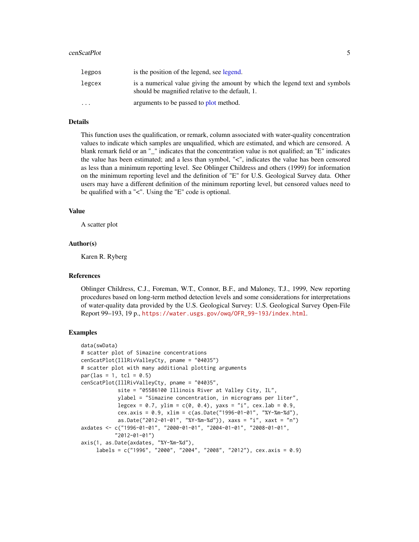#### <span id="page-4-0"></span>cenScatPlot 5

| legpos                  | is the position of the legend, see legend.                                                                                     |
|-------------------------|--------------------------------------------------------------------------------------------------------------------------------|
| legcex                  | is a numerical value giving the amount by which the legend text and symbols<br>should be magnified relative to the default, 1. |
| $\cdot$ $\cdot$ $\cdot$ | arguments to be passed to plot method.                                                                                         |

# Details

This function uses the qualification, or remark, column associated with water-quality concentration values to indicate which samples are unqualified, which are estimated, and which are censored. A blank remark field or an "\_" indicates that the concentration value is not qualified; an "E" indicates the value has been estimated; and a less than symbol, "<", indicates the value has been censored as less than a minimum reporting level. See Oblinger Childress and others (1999) for information on the minimum reporting level and the definition of "E" for U.S. Geological Survey data. Other users may have a different definition of the minimum reporting level, but censored values need to be qualified with a "<". Using the "E" code is optional.

#### Value

A scatter plot

#### Author(s)

Karen R. Ryberg

#### References

Oblinger Childress, C.J., Foreman, W.T., Connor, B.F., and Maloney, T.J., 1999, New reporting procedures based on long-term method detection levels and some considerations for interpretations of water-quality data provided by the U.S. Geological Survey: U.S. Geological Survey Open-File Report 99–193, 19 p., [https://water.usgs.gov/owq/OFR\\_99-193/index.html](https://water.usgs.gov/owq/OFR_99-193/index.html).

#### Examples

```
data(swData)
# scatter plot of Simazine concentrations
cenScatPlot(IllRivValleyCty, pname = "04035")
# scatter plot with many additional plotting arguments
par(las = 1, tcl = 0.5)cenScatPlot(IllRivValleyCty, pname = "04035",
            site = "05586100 Illinois River at Valley City, IL",
            ylabel = "Simazine concentration, in micrograms per liter",
            legcex = 0.7, ylim = c(0, 0.4), yaxs = "i", cex.lab = 0.9,
            cex.axis = 0.9, xlim = c(as.Date("1996-01-01", "%Y-%m-%d"),
            as.Date("2012-01-01", "%Y-%m-%d")), xaxs = "i", xaxt = "n")
axdates <- c("1996-01-01", "2000-01-01", "2004-01-01", "2008-01-01",
           "2012-01-01")
axis(1, as.Date(axdates, "%Y-%m-%d"),
     labels = c("1996", "2000", "2004", "2008", "2012"), cex.axis = 0.9)
```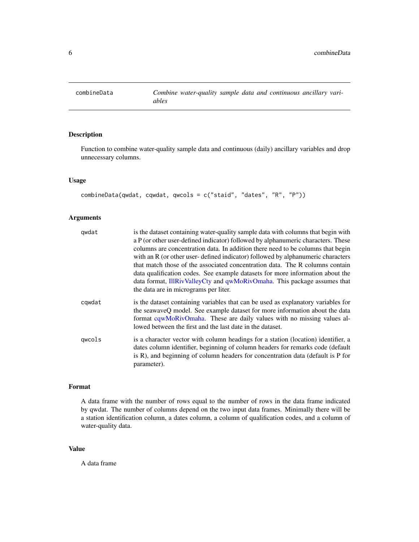<span id="page-5-0"></span>

# Description

Function to combine water-quality sample data and continuous (daily) ancillary variables and drop unnecessary columns.

# Usage

combineData(qwdat, cqwdat, qwcols = c("staid", "dates", "R", "P"))

# Arguments

| qwdat  | is the dataset containing water-quality sample data with columns that begin with<br>a P (or other user-defined indicator) followed by alphanumeric characters. These<br>columns are concentration data. In addition there need to be columns that begin<br>with an R (or other user-defined indicator) followed by alphanumeric characters<br>that match those of the associated concentration data. The R columns contain<br>data qualification codes. See example datasets for more information about the<br>data format, IllRivValleyCty and qwMoRivOmaha. This package assumes that<br>the data are in micrograms per liter. |
|--------|----------------------------------------------------------------------------------------------------------------------------------------------------------------------------------------------------------------------------------------------------------------------------------------------------------------------------------------------------------------------------------------------------------------------------------------------------------------------------------------------------------------------------------------------------------------------------------------------------------------------------------|
| cqwdat | is the dataset containing variables that can be used as explanatory variables for<br>the seawaveQ model. See example dataset for more information about the data<br>format cqwMoRivOmaha. These are daily values with no missing values al-<br>lowed between the first and the last date in the dataset.                                                                                                                                                                                                                                                                                                                         |
| qwcols | is a character vector with column headings for a station (location) identifier, a<br>dates column identifier, beginning of column headers for remarks code (default<br>is R), and beginning of column headers for concentration data (default is P for<br>parameter).                                                                                                                                                                                                                                                                                                                                                            |

#### Format

A data frame with the number of rows equal to the number of rows in the data frame indicated by qwdat. The number of columns depend on the two input data frames. Minimally there will be a station identification column, a dates column, a column of qualification codes, and a column of water-quality data.

# Value

A data frame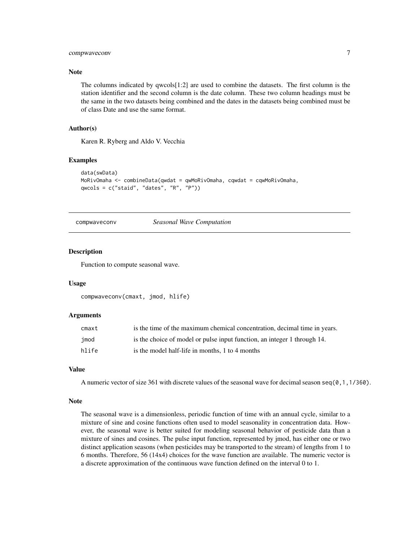# <span id="page-6-0"></span>compwaveconv 7

# Note

The columns indicated by qwcols[1:2] are used to combine the datasets. The first column is the station identifier and the second column is the date column. These two column headings must be the same in the two datasets being combined and the dates in the datasets being combined must be of class Date and use the same format.

# Author(s)

Karen R. Ryberg and Aldo V. Vecchia

#### Examples

```
data(swData)
MoRivOmaha <- combineData(qwdat = qwMoRivOmaha, cqwdat = cqwMoRivOmaha,
qwcols = c("staid", "dates", "R", "P"))
```
compwaveconv *Seasonal Wave Computation*

#### Description

Function to compute seasonal wave.

#### Usage

```
compwaveconv(cmaxt, jmod, hlife)
```
#### **Arguments**

| cmaxt | is the time of the maximum chemical concentration, decimal time in years. |
|-------|---------------------------------------------------------------------------|
| imod  | is the choice of model or pulse input function, an integer 1 through 14.  |
| hlife | is the model half-life in months, 1 to 4 months                           |

# Value

A numeric vector of size 361 with discrete values of the seasonal wave for decimal season seq( $\theta$ , 1,1/36 $\theta$ ).

#### Note

The seasonal wave is a dimensionless, periodic function of time with an annual cycle, similar to a mixture of sine and cosine functions often used to model seasonality in concentration data. However, the seasonal wave is better suited for modeling seasonal behavior of pesticide data than a mixture of sines and cosines. The pulse input function, represented by jmod, has either one or two distinct application seasons (when pesticides may be transported to the stream) of lengths from 1 to 6 months. Therefore, 56 (14x4) choices for the wave function are available. The numeric vector is a discrete approximation of the continuous wave function defined on the interval 0 to 1.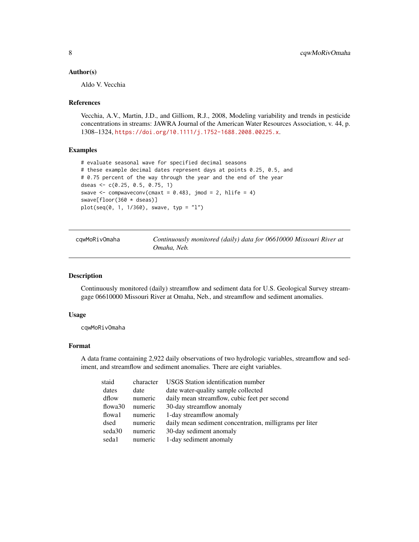#### <span id="page-7-0"></span>Author(s)

Aldo V. Vecchia

#### References

Vecchia, A.V., Martin, J.D., and Gilliom, R.J., 2008, Modeling variability and trends in pesticide concentrations in streams: JAWRA Journal of the American Water Resources Association, v. 44, p. 1308–1324, <https://doi.org/10.1111/j.1752-1688.2008.00225.x>.

# Examples

```
# evaluate seasonal wave for specified decimal seasons
# these example decimal dates represent days at points 0.25, 0.5, and
# 0.75 percent of the way through the year and the end of the year
dseas <- c(0.25, 0.5, 0.75, 1)
swave \leq compwaveconv(cmaxt = 0.483, jmod = 2, hlife = 4)
swave[floor(360 * dseas)]
plot(seq(0, 1, 1/360), swave, typ = "l")
```
<span id="page-7-1"></span>cqwMoRivOmaha *Continuously monitored (daily) data for 06610000 Missouri River at Omaha, Neb.*

# Description

Continuously monitored (daily) streamflow and sediment data for U.S. Geological Survey streamgage 06610000 Missouri River at Omaha, Neb., and streamflow and sediment anomalies.

#### Usage

cqwMoRivOmaha

# Format

A data frame containing 2,922 daily observations of two hydrologic variables, streamflow and sediment, and streamflow and sediment anomalies. There are eight variables.

| staid   | character | <b>USGS</b> Station identification number               |
|---------|-----------|---------------------------------------------------------|
| dates   | date      | date water-quality sample collected                     |
| dflow   | numeric   | daily mean streamflow, cubic feet per second            |
| flowa30 | numeric   | 30-day streamflow anomaly                               |
| flowa1  | numeric   | 1-day streamflow anomaly                                |
| dsed    | numeric   | daily mean sediment concentration, milligrams per liter |
| seda30  | numeric   | 30-day sediment anomaly                                 |
| seda1   | numeric   | 1-day sediment anomaly                                  |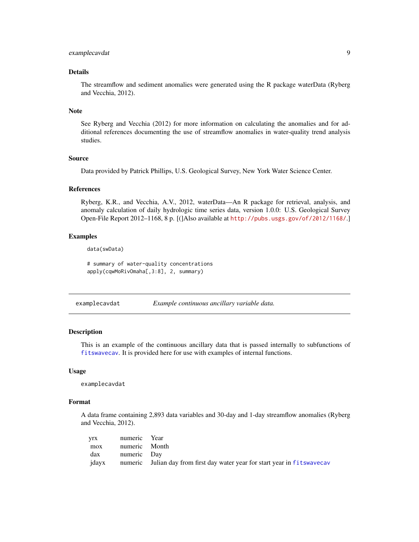# <span id="page-8-0"></span>examplecavdat 9

# Details

The streamflow and sediment anomalies were generated using the R package waterData (Ryberg and Vecchia, 2012).

#### Note

See Ryberg and Vecchia (2012) for more information on calculating the anomalies and for additional references documenting the use of streamflow anomalies in water-quality trend analysis studies.

#### Source

Data provided by Patrick Phillips, U.S. Geological Survey, New York Water Science Center.

#### References

Ryberg, K.R., and Vecchia, A.V., 2012, waterData—An R package for retrieval, analysis, and anomaly calculation of daily hydrologic time series data, version 1.0.0: U.S. Geological Survey Open-File Report 2012–1168, 8 p. [(]Also available at <http://pubs.usgs.gov/of/2012/1168/>.]

# Examples

data(swData)

# summary of water-quality concentrations apply(cqwMoRivOmaha[,3:8], 2, summary)

examplecavdat *Example continuous ancillary variable data.*

#### **Description**

This is an example of the continuous ancillary data that is passed internally to subfunctions of [fitswavecav](#page-20-1). It is provided here for use with examples of internal functions.

#### Usage

examplecavdat

#### Format

A data frame containing 2,893 data variables and 30-day and 1-day streamflow anomalies (Ryberg and Vecchia, 2012).

|     | yrx numeric Year |                                                                                  |
|-----|------------------|----------------------------------------------------------------------------------|
| mox | numeric Month    |                                                                                  |
|     | dax numeric Day  |                                                                                  |
|     |                  | jdayx numeric Julian day from first day water year for start year in fitswavecav |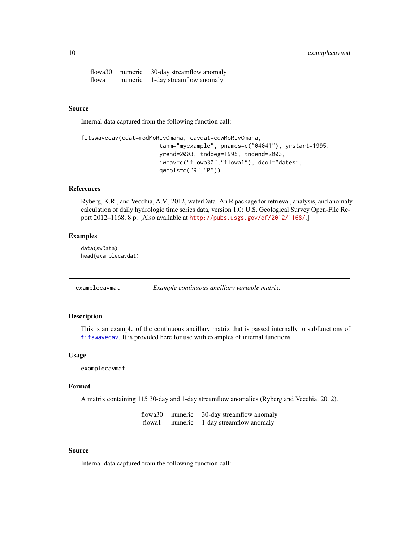# <span id="page-9-0"></span>10 examplecavmat

flowa30 numeric 30-day streamflow anomaly flowa1 numeric 1-day streamflow anomaly

# Source

Internal data captured from the following function call:

```
fitswavecav(cdat=modMoRivOmaha, cavdat=cqwMoRivOmaha,
                       tanm="myexample", pnames=c("04041"), yrstart=1995,
                       yrend=2003, tndbeg=1995, tndend=2003,
                       iwcav=c("flowa30","flowa1"), dcol="dates",
                       qwcols=c("R","P"))
```
# References

Ryberg, K.R., and Vecchia, A.V., 2012, waterData–An R package for retrieval, analysis, and anomaly calculation of daily hydrologic time series data, version 1.0: U.S. Geological Survey Open-File Report 2012–1168, 8 p. [Also available at <http://pubs.usgs.gov/of/2012/1168/>.]

#### Examples

data(swData) head(examplecavdat)

examplecavmat *Example continuous ancillary variable matrix.*

# Description

This is an example of the continuous ancillary matrix that is passed internally to subfunctions of [fitswavecav](#page-20-1). It is provided here for use with examples of internal functions.

#### Usage

examplecavmat

#### Format

A matrix containing 115 30-day and 1-day streamflow anomalies (Ryberg and Vecchia, 2012).

| flowa30 | numeric | 30-day streamflow anomaly |
|---------|---------|---------------------------|
| flowa1  | numeric | 1-day streamflow anomaly  |

# Source

Internal data captured from the following function call: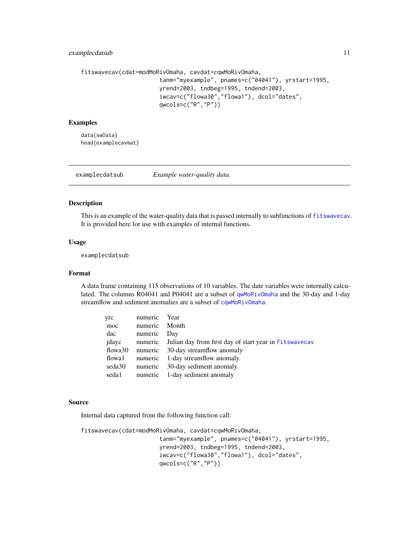# <span id="page-10-0"></span>examplecdatsub 11

```
fitswavecav(cdat=modMoRivOmaha, cavdat=cqwMoRivOmaha,
                       tanm="myexample", pnames=c("04041"), yrstart=1995,
                       yrend=2003, tndbeg=1995, tndend=2003,
                       iwcav=c("flowa30","flowa1"), dcol="dates",
                       qwcols=c("R","P"))
```
# Examples

data(swData) head(examplecavmat)

examplecdatsub *Example water-quality data.*

# Description

This is an example of the water-quality data that is passed internally to subfunctions of [fitswavecav](#page-20-1). It is provided here for use with examples of internal functions.

#### Usage

examplecdatsub

# Format

A data frame containing 115 observations of 10 variables. The date variables were internally calculated. The columns R04041 and P04041 are a subset of [qwMoRivOmaha](#page-34-1) and the 30-day and 1-day streamflow and sediment anomalies are a subset of [cqwMoRivOmaha](#page-7-1).

| yrc                 | numeric | Year                                                           |
|---------------------|---------|----------------------------------------------------------------|
| moc                 | numeric | Month                                                          |
| dac                 | numeric | Day                                                            |
| jdayc               |         | numeric Julian day from first day of start year in fitswavecav |
| flowa <sup>30</sup> | numeric | 30-day streamflow anomaly                                      |
| flowa1              |         | numeric 1-day streamflow anomaly                               |
| seda30              | numeric | 30-day sediment anomaly                                        |
| seda1               | numeric | 1-day sediment anomaly                                         |

#### Source

Internal data captured from the following function call:

```
fitswavecav(cdat=modMoRivOmaha, cavdat=cqwMoRivOmaha,
                       tanm="myexample", pnames=c("04041"), yrstart=1995,
                       yrend=2003, tndbeg=1995, tndend=2003,
                       iwcav=c("flowa30","flowa1"), dcol="dates",
                       qwcols=c("R","P"))
```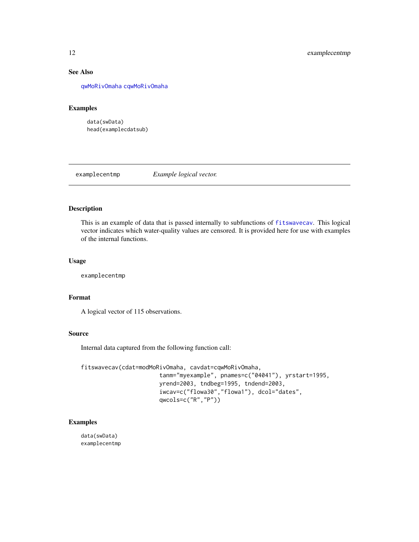# See Also

[qwMoRivOmaha](#page-34-1) [cqwMoRivOmaha](#page-7-1)

#### Examples

data(swData) head(examplecdatsub)

# examplecentmp *Example logical vector.*

# Description

This is an example of data that is passed internally to subfunctions of [fitswavecav](#page-20-1). This logical vector indicates which water-quality values are censored. It is provided here for use with examples of the internal functions.

# Usage

examplecentmp

# Format

A logical vector of 115 observations.

#### Source

Internal data captured from the following function call:

```
fitswavecav(cdat=modMoRivOmaha, cavdat=cqwMoRivOmaha,
                       tanm="myexample", pnames=c("04041"), yrstart=1995,
                       yrend=2003, tndbeg=1995, tndend=2003,
                       iwcav=c("flowa30","flowa1"), dcol="dates",
                       qwcols=c("R","P"))
```
# Examples

data(swData) examplecentmp

<span id="page-11-0"></span>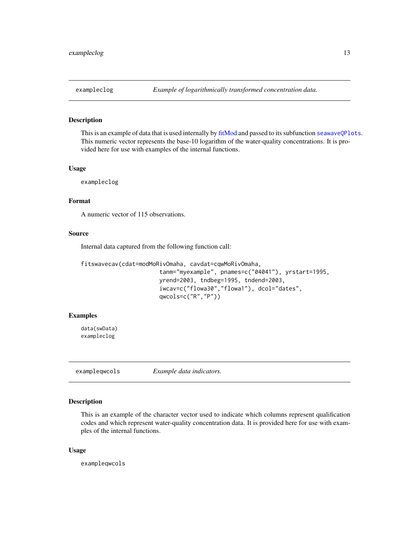<span id="page-12-0"></span>

# Description

This is an example of data that is used internally by [fitMod](#page-18-1) and passed to its subfunction [seawaveQPlots](#page-40-1). This numeric vector represents the base-10 logarithm of the water-quality concentrations. It is provided here for use with examples of the internal functions.

# Usage

exampleclog

# Format

A numeric vector of 115 observations.

# Source

Internal data captured from the following function call:

```
fitswavecav(cdat=modMoRivOmaha, cavdat=cqwMoRivOmaha,
                       tanm="myexample", pnames=c("04041"), yrstart=1995,
                       yrend=2003, tndbeg=1995, tndend=2003,
                       iwcav=c("flowa30","flowa1"), dcol="dates",
                       qwcols=c("R","P"))
```
# Examples

data(swData) exampleclog

exampleqwcols *Example data indicators.*

# Description

This is an example of the character vector used to indicate which columns represent qualification codes and which represent water-quality concentration data. It is provided here for use with examples of the internal functions.

#### Usage

exampleqwcols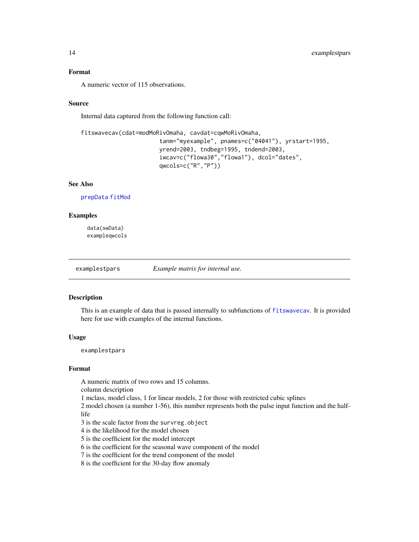# <span id="page-13-0"></span>Format

A numeric vector of 115 observations.

#### Source

Internal data captured from the following function call:

```
fitswavecav(cdat=modMoRivOmaha, cavdat=cqwMoRivOmaha,
                       tanm="myexample", pnames=c("04041"), yrstart=1995,
                       yrend=2003, tndbeg=1995, tndend=2003,
                       iwcav=c("flowa30","flowa1"), dcol="dates",
                       qwcols=c("R","P"))
```
# See Also

[prepData](#page-33-1) [fitMod](#page-18-1)

# **Examples**

data(swData) exampleqwcols

<span id="page-13-1"></span>examplestpars *Example matrix for internal use.*

# Description

This is an example of data that is passed internally to subfunctions of [fitswavecav](#page-20-1). It is provided here for use with examples of the internal functions.

#### Usage

examplestpars

# Format

A numeric matrix of two rows and 15 columns.

column description

1 mclass, model class, 1 for linear models, 2 for those with restricted cubic splines

2 model chosen (a number 1-56), this number represents both the pulse input function and the halflife

- 3 is the scale factor from the survreg.object
- 4 is the likelihood for the model chosen
- 5 is the coefficient for the model intercept

6 is the coefficient for the seasonal wave component of the model

7 is the coefficient for the trend component of the model

8 is the coefficient for the 30-day flow anomaly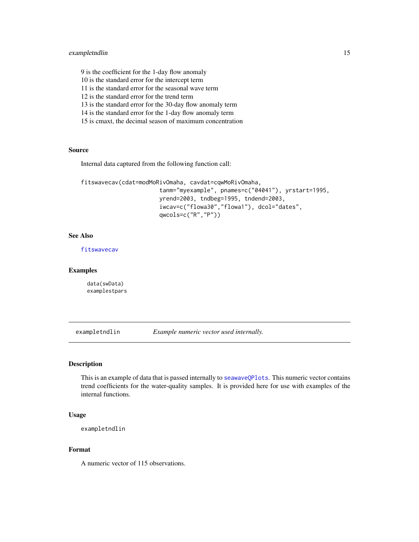# <span id="page-14-0"></span>exampletndlin 15

9 is the coefficient for the 1-day flow anomaly

10 is the standard error for the intercept term

11 is the standard error for the seasonal wave term

12 is the standard error for the trend term

13 is the standard error for the 30-day flow anomaly term

14 is the standard error for the 1-day flow anomaly term

15 is cmaxt, the decimal season of maximum concentration

# Source

Internal data captured from the following function call:

```
fitswavecav(cdat=modMoRivOmaha, cavdat=cqwMoRivOmaha,
                       tanm="myexample", pnames=c("04041"), yrstart=1995,
                       yrend=2003, tndbeg=1995, tndend=2003,
                       iwcav=c("flowa30","flowa1"), dcol="dates",
                       qwcols=c("R","P"))
```
# See Also

[fitswavecav](#page-20-1)

# Examples

data(swData) examplestpars

exampletndlin *Example numeric vector used internally.*

#### Description

This is an example of data that is passed internally to [seawaveQPlots](#page-40-1). This numeric vector contains trend coefficients for the water-quality samples. It is provided here for use with examples of the internal functions.

#### Usage

```
exampletndlin
```
#### Format

A numeric vector of 115 observations.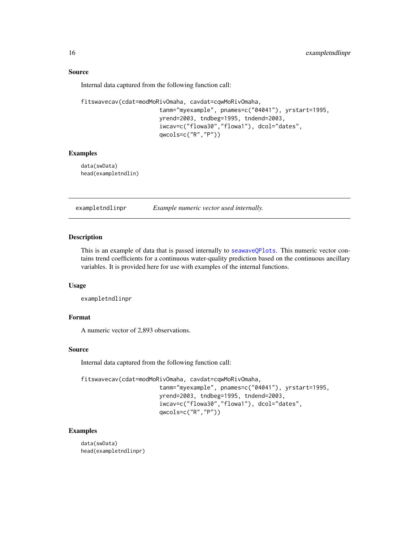#### Source

Internal data captured from the following function call:

```
fitswavecav(cdat=modMoRivOmaha, cavdat=cqwMoRivOmaha,
                       tanm="myexample", pnames=c("04041"), yrstart=1995,
                       yrend=2003, tndbeg=1995, tndend=2003,
                       iwcav=c("flowa30","flowa1"), dcol="dates",
                       qwcols=c("R","P"))
```
#### Examples

data(swData) head(exampletndlin)

exampletndlinpr *Example numeric vector used internally.*

# Description

This is an example of data that is passed internally to [seawaveQPlots](#page-40-1). This numeric vector contains trend coefficients for a continuous water-quality prediction based on the continuous ancillary variables. It is provided here for use with examples of the internal functions.

#### Usage

exampletndlinpr

#### Format

A numeric vector of 2,893 observations.

# Source

Internal data captured from the following function call:

```
fitswavecav(cdat=modMoRivOmaha, cavdat=cqwMoRivOmaha,
                       tanm="myexample", pnames=c("04041"), yrstart=1995,
                       yrend=2003, tndbeg=1995, tndend=2003,
                       iwcav=c("flowa30","flowa1"), dcol="dates",
                       qwcols=c("R","P"))
```
#### Examples

data(swData) head(exampletndlinpr)

<span id="page-15-0"></span>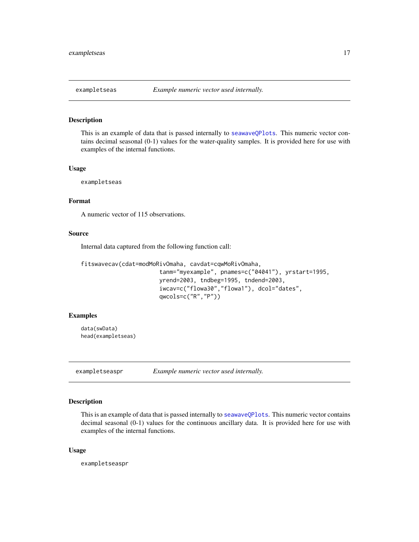<span id="page-16-0"></span>

# Description

This is an example of data that is passed internally to [seawaveQPlots](#page-40-1). This numeric vector contains decimal seasonal (0-1) values for the water-quality samples. It is provided here for use with examples of the internal functions.

# Usage

exampletseas

# Format

A numeric vector of 115 observations.

# Source

Internal data captured from the following function call:

```
fitswavecav(cdat=modMoRivOmaha, cavdat=cqwMoRivOmaha,
                       tanm="myexample", pnames=c("04041"), yrstart=1995,
                       yrend=2003, tndbeg=1995, tndend=2003,
                       iwcav=c("flowa30","flowa1"), dcol="dates",
                       qwcols=c("R","P"))
```
# Examples

data(swData) head(exampletseas)

exampletseaspr *Example numeric vector used internally.*

# Description

This is an example of data that is passed internally to [seawaveQPlots](#page-40-1). This numeric vector contains decimal seasonal (0-1) values for the continuous ancillary data. It is provided here for use with examples of the internal functions.

#### Usage

exampletseaspr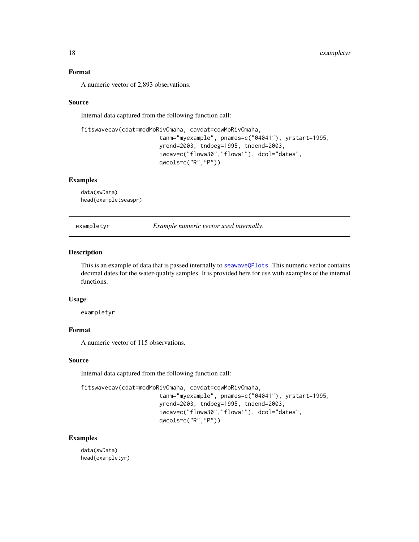# <span id="page-17-0"></span>Format

A numeric vector of 2,893 observations.

#### Source

Internal data captured from the following function call:

```
fitswavecav(cdat=modMoRivOmaha, cavdat=cqwMoRivOmaha,
                       tanm="myexample", pnames=c("04041"), yrstart=1995,
                       yrend=2003, tndbeg=1995, tndend=2003,
                       iwcav=c("flowa30","flowa1"), dcol="dates",
                       qwcols=c("R","P"))
```
# Examples

data(swData) head(exampletseaspr)

exampletyr *Example numeric vector used internally.*

# Description

This is an example of data that is passed internally to [seawaveQPlots](#page-40-1). This numeric vector contains decimal dates for the water-quality samples. It is provided here for use with examples of the internal functions.

#### Usage

exampletyr

# Format

A numeric vector of 115 observations.

#### Source

Internal data captured from the following function call:

```
fitswavecav(cdat=modMoRivOmaha, cavdat=cqwMoRivOmaha,
```
tanm="myexample", pnames=c("04041"), yrstart=1995, yrend=2003, tndbeg=1995, tndend=2003, iwcav=c("flowa30","flowa1"), dcol="dates", qwcols=c("R","P"))

# Examples

data(swData) head(exampletyr)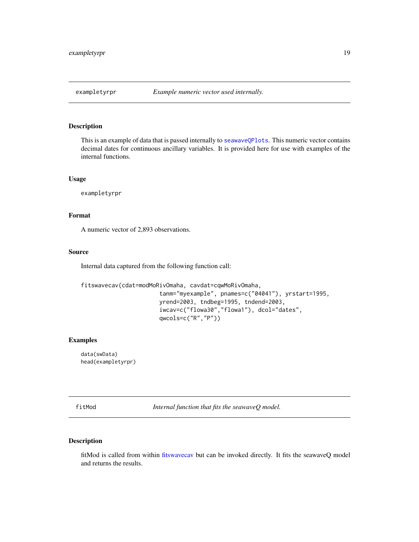<span id="page-18-0"></span>

# Description

This is an example of data that is passed internally to [seawaveQPlots](#page-40-1). This numeric vector contains decimal dates for continuous ancillary variables. It is provided here for use with examples of the internal functions.

#### Usage

exampletyrpr

# Format

A numeric vector of 2,893 observations.

# Source

Internal data captured from the following function call:

```
fitswavecav(cdat=modMoRivOmaha, cavdat=cqwMoRivOmaha,
                       tanm="myexample", pnames=c("04041"), yrstart=1995,
                       yrend=2003, tndbeg=1995, tndend=2003,
                       iwcav=c("flowa30","flowa1"), dcol="dates",
                       qwcols=c("R","P"))
```
# Examples

data(swData) head(exampletyrpr)

<span id="page-18-1"></span>fitMod *Internal function that fits the seawaveQ model.*

# Description

fitMod is called from within [fitswavecav](#page-20-1) but can be invoked directly. It fits the seawaveQ model and returns the results.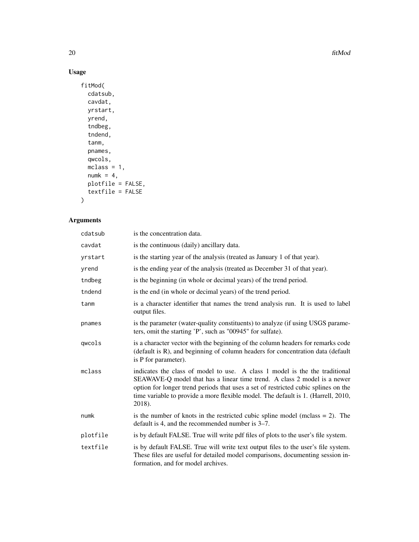$20$  fitMod

# Usage

```
fitMod(
  cdatsub,
  cavdat,
  yrstart,
  yrend,
  tndbeg,
  tndend,
  tanm,
  pnames,
  qwcols,
  mclass = 1,
  numk = 4,
  plotfile = FALSE,
  textfile = FALSE
\mathcal{L}
```
# Arguments

| cdatsub  | is the concentration data.                                                                                                                                                                                                                                                                                                                   |
|----------|----------------------------------------------------------------------------------------------------------------------------------------------------------------------------------------------------------------------------------------------------------------------------------------------------------------------------------------------|
| cavdat   | is the continuous (daily) ancillary data.                                                                                                                                                                                                                                                                                                    |
| yrstart  | is the starting year of the analysis (treated as January 1 of that year).                                                                                                                                                                                                                                                                    |
| yrend    | is the ending year of the analysis (treated as December 31 of that year).                                                                                                                                                                                                                                                                    |
| tndbeg   | is the beginning (in whole or decimal years) of the trend period.                                                                                                                                                                                                                                                                            |
| tndend   | is the end (in whole or decimal years) of the trend period.                                                                                                                                                                                                                                                                                  |
| tanm     | is a character identifier that names the trend analysis run. It is used to label<br>output files.                                                                                                                                                                                                                                            |
| pnames   | is the parameter (water-quality constituents) to analyze (if using USGS parame-<br>ters, omit the starting 'P', such as "00945" for sulfate).                                                                                                                                                                                                |
| qwcols   | is a character vector with the beginning of the column headers for remarks code<br>(default is R), and beginning of column headers for concentration data (default<br>is P for parameter).                                                                                                                                                   |
| mclass   | indicates the class of model to use. A class 1 model is the the traditional<br>SEAWAVE-Q model that has a linear time trend. A class 2 model is a newer<br>option for longer trend periods that uses a set of restricted cubic splines on the<br>time variable to provide a more flexible model. The default is 1. (Harrell, 2010,<br>2018). |
| numk     | is the number of knots in the restricted cubic spline model (mclass $= 2$ ). The<br>default is 4, and the recommended number is 3–7.                                                                                                                                                                                                         |
| plotfile | is by default FALSE. True will write pdf files of plots to the user's file system.                                                                                                                                                                                                                                                           |
| textfile | is by default FALSE. True will write text output files to the user's file system.<br>These files are useful for detailed model comparisons, documenting session in-<br>formation, and for model archives.                                                                                                                                    |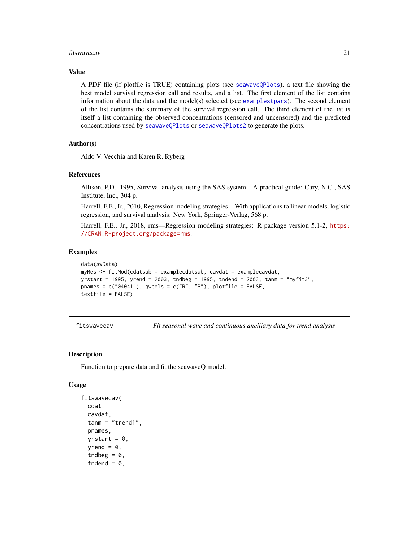#### <span id="page-20-0"></span>fitswavecav 21

# Value

A PDF file (if plotfile is TRUE) containing plots (see [seawaveQPlots](#page-40-1)), a text file showing the best model survival regression call and results, and a list. The first element of the list contains information about the data and the model(s) selected (see [examplestpars](#page-13-1)). The second element of the list contains the summary of the survival regression call. The third element of the list is itself a list containing the observed concentrations (censored and uncensored) and the predicted concentrations used by [seawaveQPlots](#page-40-1) or [seawaveQPlots2](#page-43-1) to generate the plots.

# Author(s)

Aldo V. Vecchia and Karen R. Ryberg

#### References

Allison, P.D., 1995, Survival analysis using the SAS system—A practical guide: Cary, N.C., SAS Institute, Inc., 304 p.

Harrell, F.E., Jr., 2010, Regression modeling strategies—With applications to linear models, logistic regression, and survival analysis: New York, Springer-Verlag, 568 p.

Harrell, F.E., Jr., 2018, rms—Regression modeling strategies: R package version 5.1-2, [https:](https://CRAN.R-project.org/package=rms) [//CRAN.R-project.org/package=rms](https://CRAN.R-project.org/package=rms).

# Examples

```
data(swData)
myRes <- fitMod(cdatsub = examplecdatsub, cavdat = examplecavdat,
yrstart = 1995, yrend = 2003, tndbeg = 1995, tndend = 2003, tanm = "myfit3",
pnames = c("04041"), qwcols = c("R", "P"), plotfile = FALSE,
textfile = FALSE)
```
<span id="page-20-1"></span>

fitswavecav *Fit seasonal wave and continuous ancillary data for trend analysis*

#### Description

Function to prepare data and fit the seawaveQ model.

#### Usage

```
fitswavecav(
  cdat,
  cavdat,
  tann = "trend1".pnames,
  vrstart = \theta,
  yrend = 0,tndbeg = 0,
  tndend = 0,
```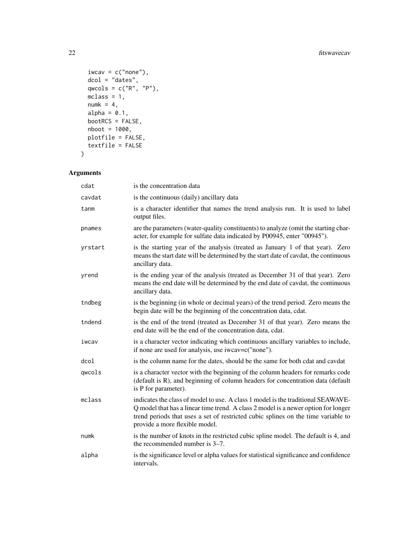```
iwcav = c("none"),
  dcol = "dates",
  qwcols = c("R", "P"),
 mclass = 1,
 numk = 4,
 alpha = 0.1,
 bootRCS = FALSE,
 nboot = 1000,plotfile = FALSE,
 textfile = FALSE
\mathcal{L}
```
# Arguments

| cdat    | is the concentration data                                                                                                                                                                                                                                                                     |
|---------|-----------------------------------------------------------------------------------------------------------------------------------------------------------------------------------------------------------------------------------------------------------------------------------------------|
| cavdat  | is the continuous (daily) ancillary data                                                                                                                                                                                                                                                      |
| tanm    | is a character identifier that names the trend analysis run. It is used to label<br>output files.                                                                                                                                                                                             |
| pnames  | are the parameters (water-quality constituents) to analyze (omit the starting char-<br>acter, for example for sulfate data indicated by P00945, enter "00945").                                                                                                                               |
| yrstart | is the starting year of the analysis (treated as January 1 of that year). Zero<br>means the start date will be determined by the start date of cavdat, the continuous<br>ancillary data.                                                                                                      |
| yrend   | is the ending year of the analysis (treated as December 31 of that year). Zero<br>means the end date will be determined by the end date of cavdat, the continuous<br>ancillary data.                                                                                                          |
| tndbeg  | is the beginning (in whole or decimal years) of the trend period. Zero means the<br>begin date will be the beginning of the concentration data, cdat.                                                                                                                                         |
| tndend  | is the end of the trend (treated as December 31 of that year). Zero means the<br>end date will be the end of the concentration data, cdat.                                                                                                                                                    |
| iwcav   | is a character vector indicating which continuous ancillary variables to include,<br>if none are used for analysis, use iwcav=c("none").                                                                                                                                                      |
| dcol    | is the column name for the dates, should be the same for both cdat and cavdat                                                                                                                                                                                                                 |
| qwcols  | is a character vector with the beginning of the column headers for remarks code<br>(default is R), and beginning of column headers for concentration data (default<br>is P for parameter).                                                                                                    |
| mclass  | indicates the class of model to use. A class 1 model is the traditional SEAWAVE-<br>Q model that has a linear time trend. A class 2 model is a newer option for longer<br>trend periods that uses a set of restricted cubic splines on the time variable to<br>provide a more flexible model. |
| numk    | is the number of knots in the restricted cubic spline model. The default is 4, and<br>the recommended number is 3–7.                                                                                                                                                                          |
| alpha   | is the significance level or alpha values for statistical significance and confidence<br>intervals.                                                                                                                                                                                           |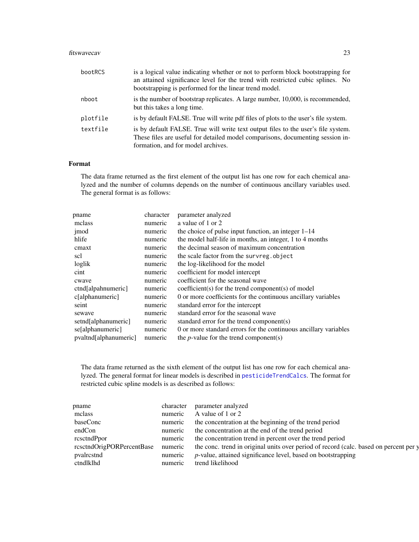#### <span id="page-22-0"></span>fitswavecav 23

| bootRCS  | is a logical value indicating whether or not to perform block bootstrapping for<br>an attained significance level for the trend with restricted cubic splines. No<br>bootstrapping is performed for the linear trend model. |
|----------|-----------------------------------------------------------------------------------------------------------------------------------------------------------------------------------------------------------------------------|
| nboot    | is the number of bootstrap replicates. A large number, 10,000, is recommended,<br>but this takes a long time.                                                                                                               |
| plotfile | is by default FALSE. True will write pdf files of plots to the user's file system.                                                                                                                                          |
| textfile | is by default FALSE. True will write text output files to the user's file system.<br>These files are useful for detailed model comparisons, documenting session in-<br>formation, and for model archives.                   |

# Format

The data frame returned as the first element of the output list has one row for each chemical analyzed and the number of columns depends on the number of continuous ancillary variables used. The general format is as follows:

| pname                 | character | parameter analyzed                                               |
|-----------------------|-----------|------------------------------------------------------------------|
| mclass                | numeric   | a value of 1 or 2                                                |
| jmod                  | numeric   | the choice of pulse input function, an integer $1-14$            |
| hlife                 | numeric   | the model half-life in months, an integer, 1 to 4 months         |
| cmaxt                 | numeric   | the decimal season of maximum concentration                      |
| scl                   | numeric   | the scale factor from the survreg. object                        |
| loglik                | numeric   | the log-likelihood for the model                                 |
| cint                  | numeric   | coefficient for model intercept                                  |
| cwave                 | numeric   | coefficient for the seasonal wave                                |
| ctnd[alpahnumeric]    | numeric   | coefficient(s) for the trend component(s) of model               |
| c[alphantumeric]      | numeric   | 0 or more coefficients for the continuous ancillary variables    |
| seint                 | numeric   | standard error for the intercept                                 |
| sewaye                | numeric   | standard error for the seasonal wave                             |
| setnd[alphanumeric]   | numeric   | standard error for the trend component(s)                        |
| se[alphanumeric]      | numeric   | 0 or more standard errors for the continuous ancillary variables |
| pvaltnd[alphanumeric] | numeric   | the <i>p</i> -value for the trend component(s)                   |
|                       |           |                                                                  |

The data frame returned as the sixth element of the output list has one row for each chemical analyzed. The general format for linear models is described in [pesticideTrendCalcs](#page-31-1). The format for restricted cubic spline models is as described as follows:

| pname                     | character | parameter analyzed                                                                    |
|---------------------------|-----------|---------------------------------------------------------------------------------------|
| mclass                    | numeric   | A value of 1 or 2                                                                     |
| baseConc                  | numeric   | the concentration at the beginning of the trend period                                |
| endCon                    | numeric   | the concentration at the end of the trend period                                      |
| rcsctndPpor               | numeric   | the concentration trend in percent over the trend period                              |
| rcsctndOrigPORPercentBase | numeric   | the conc. trend in original units over period of record (calc. based on percent per y |
| pvalrestnd                | numeric   | $p$ -value, attained significance level, based on bootstrapping                       |
| ctndlklhd                 | numeric   | trend likelihood                                                                      |
|                           |           |                                                                                       |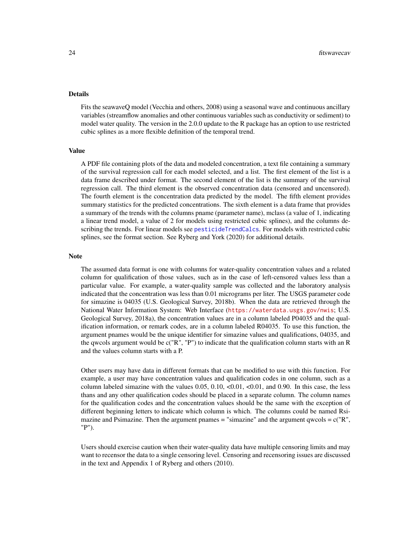# <span id="page-23-0"></span>Details

Fits the seawaveQ model (Vecchia and others, 2008) using a seasonal wave and continuous ancillary variables (streamflow anomalies and other continuous variables such as conductivity or sediment) to model water quality. The version in the 2.0.0 update to the R package has an option to use restricted cubic splines as a more flexible definition of the temporal trend.

# Value

A PDF file containing plots of the data and modeled concentration, a text file containing a summary of the survival regression call for each model selected, and a list. The first element of the list is a data frame described under format. The second element of the list is the summary of the survival regression call. The third element is the observed concentration data (censored and uncensored). The fourth element is the concentration data predicted by the model. The fifth element provides summary statistics for the predicted concentrations. The sixth element is a data frame that provides a summary of the trends with the columns pname (parameter name), mclass (a value of 1, indicating a linear trend model, a value of 2 for models using restricted cubic splines), and the columns describing the trends. For linear models see [pesticideTrendCalcs](#page-31-1). For models with restricted cubic splines, see the format section. See Ryberg and York (2020) for additional details.

#### **Note**

The assumed data format is one with columns for water-quality concentration values and a related column for qualification of those values, such as in the case of left-censored values less than a particular value. For example, a water-quality sample was collected and the laboratory analysis indicated that the concentration was less than 0.01 micrograms per liter. The USGS parameter code for simazine is 04035 (U.S. Geological Survey, 2018b). When the data are retrieved through the National Water Information System: Web Interface (<https://waterdata.usgs.gov/nwis>; U.S. Geological Survey, 2018a), the concentration values are in a column labeled P04035 and the qualification information, or remark codes, are in a column labeled R04035. To use this function, the argument pnames would be the unique identifier for simazine values and qualifications, 04035, and the qwcols argument would be  $c("R", "P")$  to indicate that the qualification column starts with an R and the values column starts with a P.

Other users may have data in different formats that can be modified to use with this function. For example, a user may have concentration values and qualification codes in one column, such as a column labeled simazine with the values  $0.05, 0.10, \langle 0.01, \langle 0.01, \text{ and } 0.90 \rangle$ . In this case, the less thans and any other qualification codes should be placed in a separate column. The column names for the qualification codes and the concentration values should be the same with the exception of different beginning letters to indicate which column is which. The columns could be named Rsimazine and Psimazine. Then the argument pnames  $=$  "simazine" and the argument qwcols  $= c(TR)$ ", "P").

Users should exercise caution when their water-quality data have multiple censoring limits and may want to recensor the data to a single censoring level. Censoring and recensoring issues are discussed in the text and Appendix 1 of Ryberg and others (2010).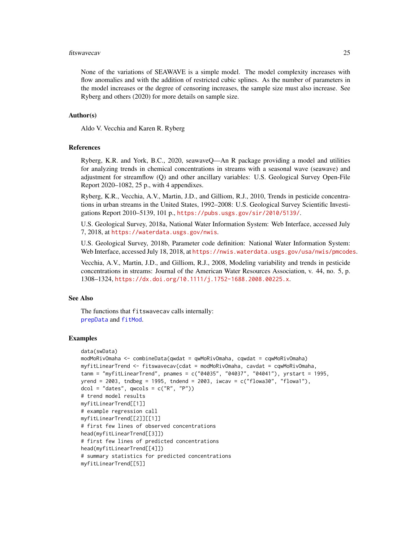#### <span id="page-24-0"></span>fitswavecav 25

None of the variations of SEAWAVE is a simple model. The model complexity increases with flow anomalies and with the addition of restricted cubic splines. As the number of parameters in the model increases or the degree of censoring increases, the sample size must also increase. See Ryberg and others (2020) for more details on sample size.

#### Author(s)

Aldo V. Vecchia and Karen R. Ryberg

#### References

Ryberg, K.R. and York, B.C., 2020, seawaveQ—An R package providing a model and utilities for analyzing trends in chemical concentrations in streams with a seasonal wave (seawave) and adjustment for streamflow (Q) and other ancillary variables: U.S. Geological Survey Open-File Report 2020–1082, 25 p., with 4 appendixes.

Ryberg, K.R., Vecchia, A.V., Martin, J.D., and Gilliom, R.J., 2010, Trends in pesticide concentrations in urban streams in the United States, 1992–2008: U.S. Geological Survey Scientific Investigations Report 2010–5139, 101 p., <https://pubs.usgs.gov/sir/2010/5139/>.

U.S. Geological Survey, 2018a, National Water Information System: Web Interface, accessed July 7, 2018, at <https://waterdata.usgs.gov/nwis>.

U.S. Geological Survey, 2018b, Parameter code definition: National Water Information System: Web Interface, accessed July 18, 2018, at <https://nwis.waterdata.usgs.gov/usa/nwis/pmcodes>.

Vecchia, A.V., Martin, J.D., and Gilliom, R.J., 2008, Modeling variability and trends in pesticide concentrations in streams: Journal of the American Water Resources Association, v. 44, no. 5, p. 1308–1324, <https://dx.doi.org/10.1111/j.1752-1688.2008.00225.x>.

#### See Also

The functions that fitswavecav calls internally: [prepData](#page-33-1) and [fitMod](#page-18-1).

#### Examples

```
data(swData)
modMoRivOmaha <- combineData(qwdat = qwMoRivOmaha, cqwdat = cqwMoRivOmaha)
myfitLinearTrend <- fitswavecav(cdat = modMoRivOmaha, cavdat = cqwMoRivOmaha,
tanm = "myfitLinearTrend", pnames = c("04035", "04037", "04041"), yrstart = 1995,yrend = 2003, tndbeg = 1995, tndend = 2003, iwcav = c("flowa30", "flowa1"),dcol = "dates", qwcols = c("R", "P")# trend model results
myfitLinearTrend[[1]]
# example regression call
myfitLinearTrend[[2]][[1]]
# first few lines of observed concentrations
head(myfitLinearTrend[[3]])
# first few lines of predicted concentrations
head(myfitLinearTrend[[4]])
# summary statistics for predicted concentrations
myfitLinearTrend[[5]]
```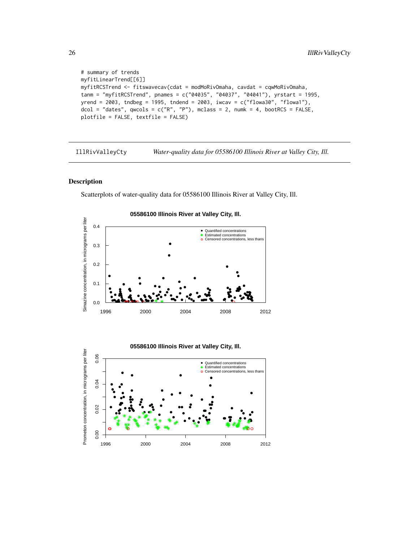```
# summary of trends
myfitLinearTrend[[6]]
myfitRCSTrend <- fitswavecav(cdat = modMoRivOmaha, cavdat = cqwMoRivOmaha,
tanm = "myfitRCSTrend", pnames = c("04035", "04037", "04041"), yrstart = 1995,
yrend = 2003, tndbeg = 1995, tndend = 2003, iwcav = c("flowa30", "flowa1"),dcol = "dates", qwcols = c("R", "P"), mclass = 2, numk = 4, bootRCS = FALSE,plotfile = FALSE, textfile = FALSE)
```
<span id="page-25-1"></span>IllRivValleyCty *Water-quality data for 05586100 Illinois River at Valley City, Ill.*

# Description

Scatterplots of water-quality data for 05586100 Illinois River at Valley City, Ill.





<span id="page-25-0"></span>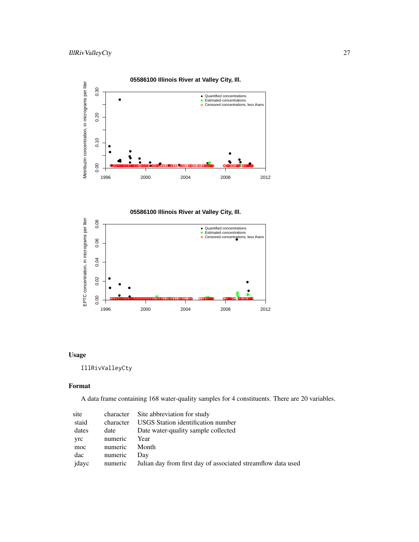

**05586100 Illinois River at Valley City, Ill.**



# Usage

IllRivValleyCty

# Format

A data frame containing 168 water-quality samples for 4 constituents. There are 20 variables.

| site  |           | character Site abbreviation for study                        |
|-------|-----------|--------------------------------------------------------------|
| staid | character | USGS Station identification number                           |
| dates | date      | Date water-quality sample collected                          |
| yrc   | numeric   | Year                                                         |
| moc   | numeric   | Month                                                        |
| dac   | numeric   | Day                                                          |
| jdayc | numeric   | Julian day from first day of associated streamflow data used |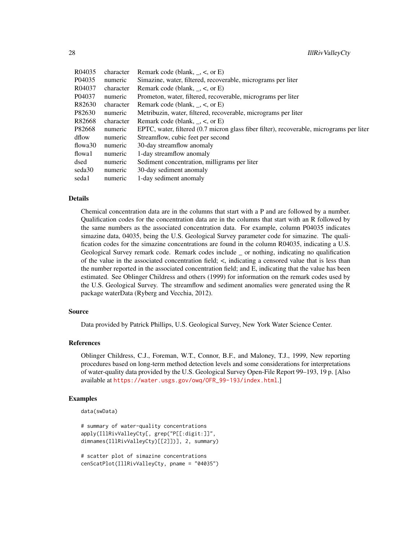28 IllRivValleyCty

| R04035  | character | Remark code (blank, $\le$ , or E)                                                        |
|---------|-----------|------------------------------------------------------------------------------------------|
| P04035  | numeric   | Simazine, water, filtered, recoverable, micrograms per liter                             |
| R04037  | character | Remark code (blank, $\le$ , or E)                                                        |
| P04037  | numeric   | Prometon, water, filtered, recoverable, micrograms per liter                             |
| R82630  | character | Remark code (blank, $\le$ , or E)                                                        |
| P82630  | numeric   | Metribuzin, water, filtered, recoverable, micrograms per liter                           |
| R82668  | character | Remark code (blank, $\le$ , or E)                                                        |
| P82668  | numeric   | EPTC, water, filtered (0.7 micron glass fiber filter), recoverable, micrograms per liter |
| dflow   | numeric   | Streamflow, cubic feet per second                                                        |
| flowa30 | numeric   | 30-day streamflow anomaly                                                                |
| flowa1  | numeric   | 1-day streamflow anomaly                                                                 |
| dsed    | numeric   | Sediment concentration, milligrams per liter                                             |
| seda30  | numeric   | 30-day sediment anomaly                                                                  |
| seda1   | numeric   | 1-day sediment anomaly                                                                   |

#### Details

Chemical concentration data are in the columns that start with a P and are followed by a number. Qualification codes for the concentration data are in the columns that start with an R followed by the same numbers as the associated concentration data. For example, column P04035 indicates simazine data, 04035, being the U.S. Geological Survey parameter code for simazine. The qualification codes for the simazine concentrations are found in the column R04035, indicating a U.S. Geological Survey remark code. Remark codes include \_ or nothing, indicating no qualification of the value in the associated concentration field; <, indicating a censored value that is less than the number reported in the associated concentration field; and E, indicating that the value has been estimated. See Oblinger Childress and others (1999) for information on the remark codes used by the U.S. Geological Survey. The streamflow and sediment anomalies were generated using the R package waterData (Ryberg and Vecchia, 2012).

#### Source

Data provided by Patrick Phillips, U.S. Geological Survey, New York Water Science Center.

# References

Oblinger Childress, C.J., Foreman, W.T., Connor, B.F., and Maloney, T.J., 1999, New reporting procedures based on long-term method detection levels and some considerations for interpretations of water-quality data provided by the U.S. Geological Survey Open-File Report 99–193, 19 p. [Also available at [https://water.usgs.gov/owq/OFR\\_99-193/index.html](https://water.usgs.gov/owq/OFR_99-193/index.html).]

#### Examples

```
data(swData)
```

```
# summary of water-quality concentrations
apply(IllRivValleyCty[, grep("P[[:digit:]]",
dimnames(IllRivValleyCty)[[2]])], 2, summary)
```

```
# scatter plot of simazine concentrations
cenScatPlot(IllRivValleyCty, pname = "04035")
```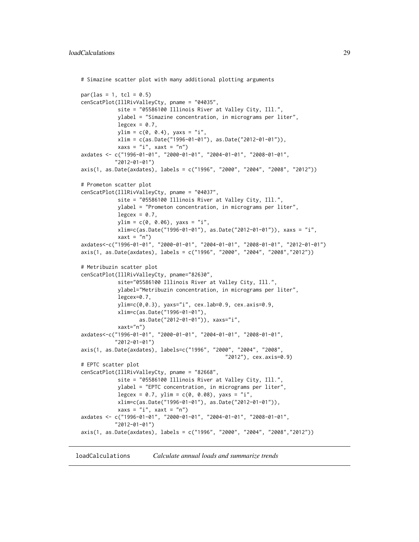```
# Simazine scatter plot with many additional plotting arguments
par(las = 1, tol = 0.5)cenScatPlot(IllRivValleyCty, pname = "04035",
            site = "05586100 Illinois River at Valley City, Ill.",
            ylabel = "Simazine concentration, in micrograms per liter",
            legcex = 0.7,
            ylim = c(0, 0.4), yax = "i",xlim = c(as.Date("1996-01-01"), as.Date("2012-01-01")),
            xaxs = "i", xaxt = "n")axdates <- c("1996-01-01", "2000-01-01", "2004-01-01", "2008-01-01",
           "2012-01-01")
axis(1, as.Date(axdates), labels = c("1996", "2000", "2004", "2008", "2012"))
# Prometon scatter plot
cenScatPlot(IllRivValleyCty, pname = "04037",
            site = "05586100 Illinois River at Valley City, Ill.",
            ylabel = "Prometon concentration, in micrograms per liter",
            legcex = 0.7,
            ylim = c(0, 0.06), yax = "i",xlim=c(as.Date("1996-01-01"), as.Date("2012-01-01")), xaxs = "i",
            xaxt = "n")
axdates<-c("1996-01-01", "2000-01-01", "2004-01-01", "2008-01-01", "2012-01-01")
axis(1, as.Date(axdates), labels = c("1996", "2000", "2004", "2008","2012"))
# Metribuzin scatter plot
cenScatPlot(IllRivValleyCty, pname="82630",
            site="05586100 Illinois River at Valley City, Ill.",
            ylabel="Metribuzin concentration, in micrograms per liter",
            legcex=0.7,
            ylim=c(0,0.3), yaxs="i", cex.lab=0.9, cex.axis=0.9,
            xlim=c(as.Date("1996-01-01"),
                  as.Date("2012-01-01")), xaxs="i",
            xaxt="n")
axdates<-c("1996-01-01", "2000-01-01", "2004-01-01", "2008-01-01",
           "2012-01-01")
axis(1, as.Date(axdates), labels=c("1996", "2000", "2004", "2008",
                                               "2012"), cex.axis=0.9)
# EPTC scatter plot
cenScatPlot(IllRivValleyCty, pname = "82668",
            site = "05586100 Illinois River at Valley City, Ill.",
            ylabel = "EPTC concentration, in micrograms per liter",
            legcex = 0.7, ylim = c(0, 0.08), yaxs = "i",xlim=c(as.Date("1996-01-01"), as.Date("2012-01-01")),
           xaxs = "i", xaxt = "n")axdates <- c("1996-01-01", "2000-01-01", "2004-01-01", "2008-01-01",
          "2012-01-01")
axis(1, as.Date(axdates), labels = c("1996", "2000", "2004", "2008","2012"))
```
loadCalculations *Calculate annual loads and summarize trends*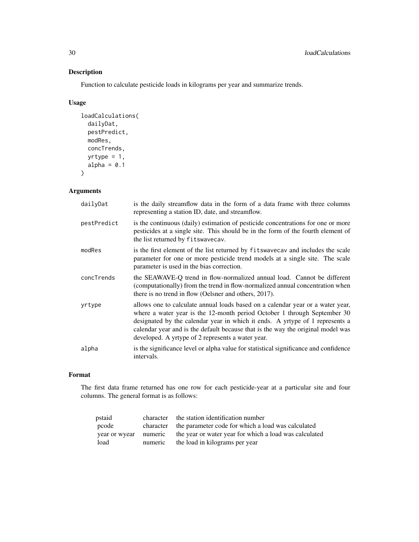# Description

Function to calculate pesticide loads in kilograms per year and summarize trends.

# Usage

```
loadCalculations(
 dailyDat,
 pestPredict,
 modRes,
 concTrends,
 yrtype = 1,
 alpha = 0.1)
```
# Arguments

| dailyDat    | is the daily streamflow data in the form of a data frame with three columns<br>representing a station ID, date, and streamflow.                                                                                                                                                                                                                                                    |
|-------------|------------------------------------------------------------------------------------------------------------------------------------------------------------------------------------------------------------------------------------------------------------------------------------------------------------------------------------------------------------------------------------|
| pestPredict | is the continuous (daily) estimation of pesticide concentrations for one or more<br>pesticides at a single site. This should be in the form of the fourth element of<br>the list returned by fitswavecav.                                                                                                                                                                          |
| modRes      | is the first element of the list returned by fitswavecav and includes the scale<br>parameter for one or more pesticide trend models at a single site. The scale<br>parameter is used in the bias correction.                                                                                                                                                                       |
| concTrends  | the SEAWAVE-Q trend in flow-normalized annual load. Cannot be different<br>(computationally) from the trend in flow-normalized annual concentration when<br>there is no trend in flow (Oelsner and others, 2017).                                                                                                                                                                  |
| yrtype      | allows one to calculate annual loads based on a calendar year or a water year,<br>where a water year is the 12-month period October 1 through September 30<br>designated by the calendar year in which it ends. A yrtype of 1 represents a<br>calendar year and is the default because that is the way the original model was<br>developed. A yrtype of 2 represents a water year. |
| alpha       | is the significance level or alpha value for statistical significance and confidence<br>intervals.                                                                                                                                                                                                                                                                                 |

# Format

The first data frame returned has one row for each pesticide-year at a particular site and four columns. The general format is as follows:

| pstaid |         | character the station identification number                                  |
|--------|---------|------------------------------------------------------------------------------|
| pcode  |         | character the parameter code for which a load was calculated                 |
|        |         | year or wyear numeric the year or water year for which a load was calculated |
| load   | numeric | the load in kilograms per year                                               |

<span id="page-29-0"></span>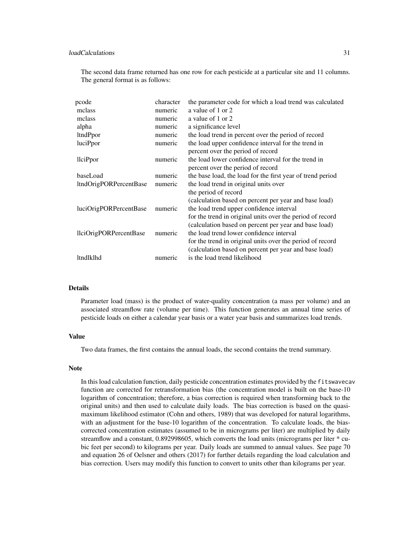# loadCalculations 31

The second data frame returned has one row for each pesticide at a particular site and 11 columns. The general format is as follows:

| pcode                  | character | the parameter code for which a load trend was calculated   |
|------------------------|-----------|------------------------------------------------------------|
| mclass                 | numeric   | a value of 1 or 2                                          |
| mclass                 | numeric   | a value of 1 or 2                                          |
| alpha                  | numeric   | a significance level                                       |
| ltndPpor               | numeric   | the load trend in percent over the period of record        |
| luciPpor               | numeric   | the load upper confidence interval for the trend in        |
|                        |           | percent over the period of record                          |
| llciPpor               | numeric   | the load lower confidence interval for the trend in        |
|                        |           | percent over the period of record                          |
| baseLoad               | numeric   | the base load, the load for the first year of trend period |
| ltndOrigPORPercentBase | numeric   | the load trend in original units over                      |
|                        |           | the period of record                                       |
|                        |           | (calculation based on percent per year and base load)      |
| luciOrigPORPercentBase | numeric   | the load trend upper confidence interval                   |
|                        |           | for the trend in original units over the period of record  |
|                        |           | (calculation based on percent per year and base load)      |
| llciOrigPORPercentBase | numeric   | the load trend lower confidence interval                   |
|                        |           | for the trend in original units over the period of record  |
|                        |           | (calculation based on percent per year and base load)      |
| ltndlklhd              | numeric   | is the load trend likelihood                               |
|                        |           |                                                            |

#### Details

Parameter load (mass) is the product of water-quality concentration (a mass per volume) and an associated streamflow rate (volume per time). This function generates an annual time series of pesticide loads on either a calendar year basis or a water year basis and summarizes load trends.

# Value

Two data frames, the first contains the annual loads, the second contains the trend summary.

#### **Note**

In this load calculation function, daily pesticide concentration estimates provided by the fitswavecav function are corrected for retransformation bias (the concentration model is built on the base-10 logarithm of concentration; therefore, a bias correction is required when transforming back to the original units) and then used to calculate daily loads. The bias correction is based on the quasimaximum likelihood estimator (Cohn and others, 1989) that was developed for natural logarithms, with an adjustment for the base-10 logarithm of the concentration. To calculate loads, the biascorrected concentration estimates (assumed to be in micrograms per liter) are multiplied by daily streamflow and a constant, 0.892998605, which converts the load units (micrograms per liter \* cubic feet per second) to kilograms per year. Daily loads are summed to annual values. See page 70 and equation 26 of Oelsner and others (2017) for further details regarding the load calculation and bias correction. Users may modify this function to convert to units other than kilograms per year.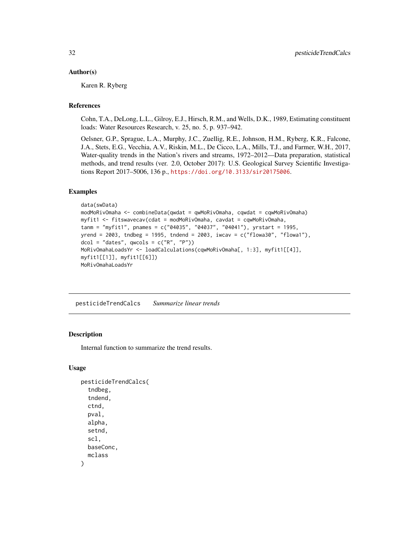#### <span id="page-31-0"></span>Author(s)

Karen R. Ryberg

# References

Cohn, T.A., DeLong, L.L., Gilroy, E.J., Hirsch, R.M., and Wells, D.K., 1989, Estimating constituent loads: Water Resources Research, v. 25, no. 5, p. 937–942.

Oelsner, G.P., Sprague, L.A., Murphy, J.C., Zuellig, R.E., Johnson, H.M., Ryberg, K.R., Falcone, J.A., Stets, E.G., Vecchia, A.V., Riskin, M.L., De Cicco, L.A., Mills, T.J., and Farmer, W.H., 2017, Water-quality trends in the Nation's rivers and streams, 1972–2012—Data preparation, statistical methods, and trend results (ver. 2.0, October 2017): U.S. Geological Survey Scientific Investigations Report 2017–5006, 136 p., <https://doi.org/10.3133/sir20175006>.

# Examples

```
data(swData)
modMoRivOmaha <- combineData(qwdat = qwMoRivOmaha, cqwdat = cqwMoRivOmaha)
myfit1 <- fitswavecav(cdat = modMoRivOmaha, cavdat = cqwMoRivOmaha,
tanm = "myfit1", pnames = c("04035", "04037", "04041"), yrstart = 1995,
yrend = 2003, tndbeg = 1995, tndend = 2003, iwcav = c("flowa30", "flowa1"),
dcol = "dates", qwcols = c("R", "P")MoRivOmahaLoadsYr <- loadCalculations(cqwMoRivOmaha[, 1:3], myfit1[[4]],
myfit1[[1]], myfit1[[6]])
MoRivOmahaLoadsYr
```
<span id="page-31-1"></span>pesticideTrendCalcs *Summarize linear trends*

# **Description**

Internal function to summarize the trend results.

#### Usage

```
pesticideTrendCalcs(
  tndbeg,
  tndend,
  ctnd,
  pval,
  alpha,
  setnd,
  scl,
  baseConc,
  mclass
)
```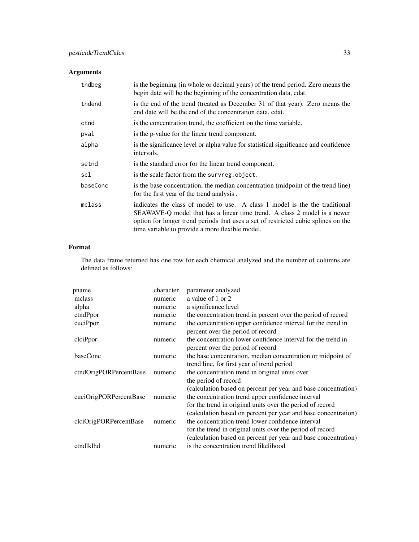# Arguments

| tndbeg   | is the beginning (in whole or decimal years) of the trend period. Zero means the<br>begin date will be the beginning of the concentration data, cdat. |
|----------|-------------------------------------------------------------------------------------------------------------------------------------------------------|
| tndend   | is the end of the trend (treated as December 31 of that year). Zero means the<br>end date will be the end of the concentration data, cdat.            |
| ctnd     | is the concentration trend, the coefficient on the time variable.                                                                                     |
| pval     | is the p-value for the linear trend component.                                                                                                        |
| alpha    | is the significance level or alpha value for statistical significance and confidence<br>intervals.                                                    |
| setnd    | is the standard error for the linear trend component.                                                                                                 |
| scl      | is the scale factor from the survreg.object.                                                                                                          |
| baseConc | is the base concentration, the median concentration (midpoint of the trend line)                                                                      |
|          | for the first year of the trend analysis.                                                                                                             |

# Format

The data frame returned has one row for each chemical analyzed and the number of columns are defined as follows:

| pname                  | character | parameter analyzed                                                                                                                                                                                                                                 |
|------------------------|-----------|----------------------------------------------------------------------------------------------------------------------------------------------------------------------------------------------------------------------------------------------------|
| mclass                 | numeric   | a value of 1 or 2                                                                                                                                                                                                                                  |
| alpha                  | numeric   | a significance level                                                                                                                                                                                                                               |
| ctndPpor               | numeric   | the concentration trend in percent over the period of record                                                                                                                                                                                       |
| cuciPpor               | numeric   | the concentration upper confidence interval for the trend in<br>percent over the period of record                                                                                                                                                  |
| clciPpor               | numeric   | the concentration lower confidence interval for the trend in<br>percent over the period of record                                                                                                                                                  |
| baseConc               | numeric   | the base concentration, median concentration or midpoint of<br>trend line, for first year of trend period                                                                                                                                          |
| ctndOrigPORPercentBase | numeric   | the concentration trend in original units over<br>the period of record                                                                                                                                                                             |
| cuciOrigPORPercentBase | numeric   | (calculation based on percent per year and base concentration)<br>the concentration trend upper confidence interval<br>for the trend in original units over the period of record                                                                   |
| clciOrigPORPercentBase | numeric   | (calculation based on percent per year and base concentration)<br>the concentration trend lower confidence interval<br>for the trend in original units over the period of record<br>(calculation based on percent per year and base concentration) |
| ctndlklhd              | numeric   | is the concentration trend likelihood                                                                                                                                                                                                              |
|                        |           |                                                                                                                                                                                                                                                    |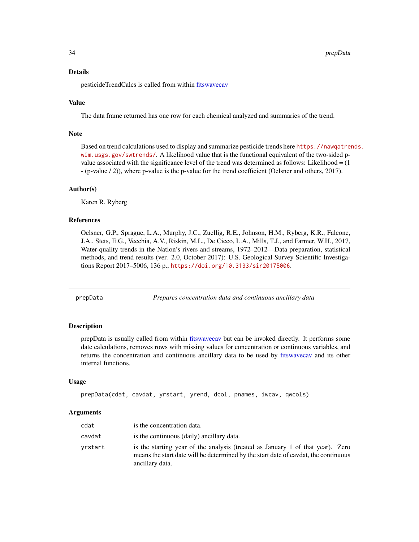#### <span id="page-33-0"></span>Details

pesticideTrendCalcs is called from within [fitswavecav](#page-20-1)

#### Value

The data frame returned has one row for each chemical analyzed and summaries of the trend.

# Note

Based on trend calculations used to display and summarize pesticide trends here [https://nawqatren](https://nawqatrends.wim.usgs.gov/swtrends/)ds. [wim.usgs.gov/swtrends/](https://nawqatrends.wim.usgs.gov/swtrends/). A likelihood value that is the functional equivalent of the two-sided pvalue associated with the significance level of the trend was determined as follows: Likelihood  $= (1$ - (p-value / 2)), where p-value is the p-value for the trend coefficient (Oelsner and others, 2017).

#### Author(s)

Karen R. Ryberg

#### References

Oelsner, G.P., Sprague, L.A., Murphy, J.C., Zuellig, R.E., Johnson, H.M., Ryberg, K.R., Falcone, J.A., Stets, E.G., Vecchia, A.V., Riskin, M.L., De Cicco, L.A., Mills, T.J., and Farmer, W.H., 2017, Water-quality trends in the Nation's rivers and streams, 1972–2012—Data preparation, statistical methods, and trend results (ver. 2.0, October 2017): U.S. Geological Survey Scientific Investigations Report 2017–5006, 136 p., <https://doi.org/10.3133/sir20175006>.

<span id="page-33-1"></span>

prepData *Prepares concentration data and continuous ancillary data*

# Description

prepData is usually called from within [fitswavecav](#page-20-1) but can be invoked directly. It performs some date calculations, removes rows with missing values for concentration or continuous variables, and returns the concentration and continuous ancillary data to be used by [fitswavecav](#page-20-1) and its other internal functions.

#### Usage

```
prepData(cdat, cavdat, yrstart, yrend, dcol, pnames, iwcav, qwcols)
```
#### **Arguments**

| cdat    | is the concentration data.                                                                                                                                                               |
|---------|------------------------------------------------------------------------------------------------------------------------------------------------------------------------------------------|
| cavdat  | is the continuous (daily) ancillary data.                                                                                                                                                |
| yrstart | is the starting year of the analysis (treated as January 1 of that year). Zero<br>means the start date will be determined by the start date of cavdat, the continuous<br>ancillary data. |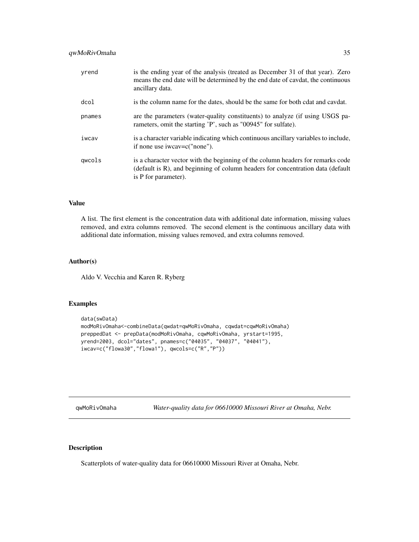# <span id="page-34-0"></span>qwMoRivOmaha 35

| is the column name for the dates, should be the same for both cdat and cavdat.                                                                                                             |
|--------------------------------------------------------------------------------------------------------------------------------------------------------------------------------------------|
| are the parameters (water-quality constituents) to analyze (if using USGS pa-<br>rameters, omit the starting 'P', such as "00945" for sulfate).                                            |
| is a character variable indicating which continuous ancillary variables to include,<br>if none use iwcav=c("none").                                                                        |
| is a character vector with the beginning of the column headers for remarks code<br>(default is R), and beginning of column headers for concentration data (default<br>is P for parameter). |
|                                                                                                                                                                                            |

# Value

A list. The first element is the concentration data with additional date information, missing values removed, and extra columns removed. The second element is the continuous ancillary data with additional date information, missing values removed, and extra columns removed.

#### Author(s)

Aldo V. Vecchia and Karen R. Ryberg

#### Examples

```
data(swData)
modMoRivOmaha<-combineData(qwdat=qwMoRivOmaha, cqwdat=cqwMoRivOmaha)
preppedDat <- prepData(modMoRivOmaha, cqwMoRivOmaha, yrstart=1995,
yrend=2003, dcol="dates", pnames=c("04035", "04037", "04041"),
iwcav=c("flowa30","flowa1"), qwcols=c("R","P"))
```
<span id="page-34-1"></span>qwMoRivOmaha *Water-quality data for 06610000 Missouri River at Omaha, Nebr.*

# Description

Scatterplots of water-quality data for 06610000 Missouri River at Omaha, Nebr.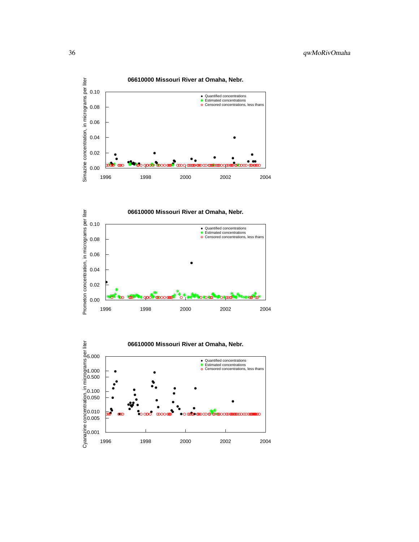



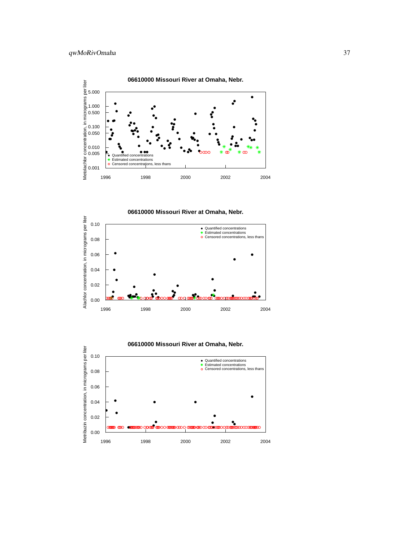

**06610000 Missouri River at Omaha, Nebr.**



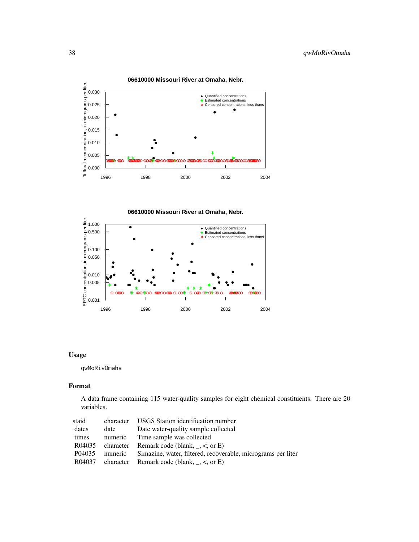

**06610000 Missouri River at Omaha, Nebr.**

**06610000 Missouri River at Omaha, Nebr.**



# Usage

qwMoRivOmaha

# Format

A data frame containing 115 water-quality samples for eight chemical constituents. There are 20 variables.

| staid  |         | character USGS Station identification number                 |
|--------|---------|--------------------------------------------------------------|
| dates  | date    | Date water-quality sample collected                          |
| times  | numeric | Time sample was collected                                    |
| R04035 |         | character Remark code (blank, $\zeta$ , or E)                |
| P04035 | numeric | Simazine, water, filtered, recoverable, micrograms per liter |
| R04037 |         | character Remark code (blank, $\_,$ <, or E)                 |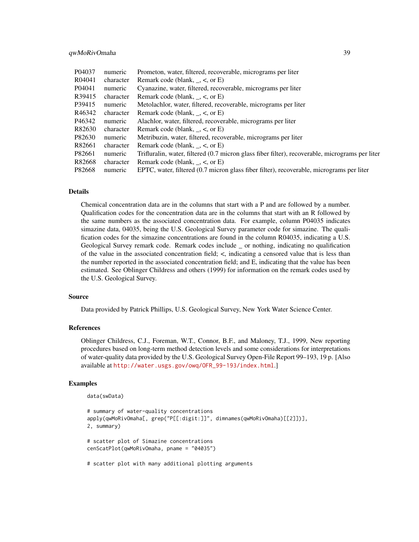# qwMoRivOmaha 39

| P04037 | numeric   | Prometon, water, filtered, recoverable, micrograms per liter                                    |
|--------|-----------|-------------------------------------------------------------------------------------------------|
| R04041 | character | Remark code (blank, $\_,$ <, or E)                                                              |
| P04041 | numeric   | Cyanazine, water, filtered, recoverable, micrograms per liter                                   |
| R39415 | character | Remark code (blank, $\_,$ <, or E)                                                              |
| P39415 | numeric   | Metolachlor, water, filtered, recoverable, micrograms per liter                                 |
| R46342 | character | Remark code (blank, $\_,$ <, or E)                                                              |
| P46342 | numeric   | Alachlor, water, filtered, recoverable, micrograms per liter                                    |
| R82630 | character | Remark code (blank, $\_,$ <, or E)                                                              |
| P82630 | numeric   | Metribuzin, water, filtered, recoverable, micrograms per liter                                  |
| R82661 | character | Remark code (blank, $\zeta$ , $\zeta$ , or E)                                                   |
| P82661 | numeric   | Trifluralin, water, filtered (0.7 micron glass fiber filter), recoverable, micrograms per liter |
| R82668 | character | Remark code (blank, $\le$ , or E)                                                               |
| P82668 | numeric   | EPTC, water, filtered (0.7 micron glass fiber filter), recoverable, micrograms per liter        |

# Details

Chemical concentration data are in the columns that start with a P and are followed by a number. Qualification codes for the concentration data are in the columns that start with an R followed by the same numbers as the associated concentration data. For example, column P04035 indicates simazine data, 04035, being the U.S. Geological Survey parameter code for simazine. The qualification codes for the simazine concentrations are found in the column R04035, indicating a U.S. Geological Survey remark code. Remark codes include or nothing, indicating no qualification of the value in the associated concentration field; <, indicating a censored value that is less than the number reported in the associated concentration field; and E, indicating that the value has been estimated. See Oblinger Childress and others (1999) for information on the remark codes used by the U.S. Geological Survey.

#### Source

Data provided by Patrick Phillips, U.S. Geological Survey, New York Water Science Center.

# References

Oblinger Childress, C.J., Foreman, W.T., Connor, B.F., and Maloney, T.J., 1999, New reporting procedures based on long-term method detection levels and some considerations for interpretations of water-quality data provided by the U.S. Geological Survey Open-File Report 99–193, 19 p. [Also available at [http://water.usgs.gov/owq/OFR\\_99-193/index.html](http://water.usgs.gov/owq/OFR_99-193/index.html).]

# Examples

```
data(swData)
```

```
# summary of water-quality concentrations
apply(qwMoRivOmaha[, grep("P[[:digit:]]", dimnames(qwMoRivOmaha)[[2]])],
2, summary)
# scatter plot of Simazine concentrations
cenScatPlot(qwMoRivOmaha, pname = "04035")
# scatter plot with many additional plotting arguments
```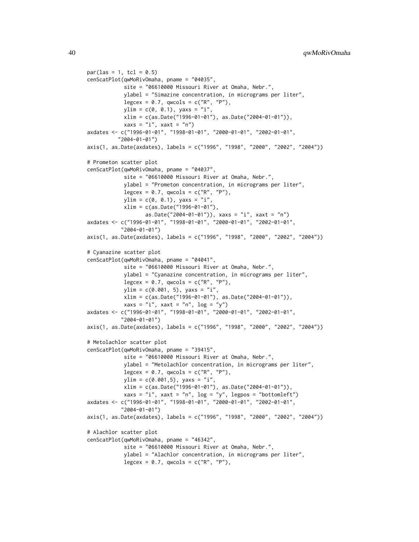```
par(las = 1, tcl = 0.5)cenScatPlot(qwMoRivOmaha, pname = "04035",
            site = "06610000 Missouri River at Omaha, Nebr.",
            ylabel = "Simazine concentration, in micrograms per liter",
            legcex = 0.7, qwcols = c("R", "P"),
            ylim = c(0, 0.1), yax = "i",xlim = c(as.Date("1996-01-01"), as.Date("2004-01-01")),
            xaxs = "i", xaxt = "n")axdates <- c("1996-01-01", "1998-01-01", "2000-01-01", "2002-01-01",
          "2004-01-01")
axis(1, as.Date(axdates), labels = c("1996", "1998", "2000", "2002", "2004"))
# Prometon scatter plot
cenScatPlot(qwMoRivOmaha, pname = "04037",
            site = "06610000 Missouri River at Omaha, Nebr.",
            ylabel = "Prometon concentration, in micrograms per liter",
            legcex = 0.7, qwcols = c("R", "P"),
            ylim = c(0, 0.1), yax = "i",xlim = c(as.Date("1996-01-01"),
                   as.Date("2004-01-01")), xaxs = "i", xaxt = "n")
axdates <- c("1996-01-01", "1998-01-01", "2000-01-01", "2002-01-01",
           "2004-01-01")
axis(1, as.Date(axdates), labels = c("1996", "1998", "2000", "2002", "2004"))
# Cyanazine scatter plot
cenScatPlot(qwMoRivOmaha, pname = "04041",
            site = "06610000 Missouri River at Omaha, Nebr.",
            ylabel = "Cyanazine concentration, in micrograms per liter",
            legcex = 0.7, qwcols = c("R", "P"),
            ylim = c(0.001, 5), yaxs = "i",
            xlim = c(as.Date("1996-01-01"), as.Date("2004-01-01")),
            xaxs = "i", xaxt = "n", \log = "y")
axdates <- c("1996-01-01", "1998-01-01", "2000-01-01", "2002-01-01",
           "2004-01-01")
axis(1, as.Date(axdates), labels = c("1996", "1998", "2000", "2002", "2004"))
# Metolachlor scatter plot
cenScatPlot(qwMoRivOmaha, pname = "39415",
            site = "06610000 Missouri River at Omaha, Nebr.",
            ylabel = "Metolachlor concentration, in micrograms per liter",
            legcex = 0.7, qwcols = c("R", "P"),
            ylim = c(0.001,5), yaxs = "i",
            xlim = c(as.Date("1996-01-01"), as.Date("2004-01-01")),
            xaxs = "i", xaxt = "n", log = "y", legpos = "bottomleft")
axdates <- c("1996-01-01", "1998-01-01", "2000-01-01", "2002-01-01",
           "2004-01-01")
axis(1, as.Date(axdates), labels = c("1996", "1998", "2000", "2002", "2004"))
# Alachlor scatter plot
cenScatPlot(qwMoRivOmaha, pname = "46342",
            site = "06610000 Missouri River at Omaha, Nebr.",
            ylabel = "Alachlor concentration, in micrograms per liter",
            legcex = 0.7, qwcols = c("R", "P"),
```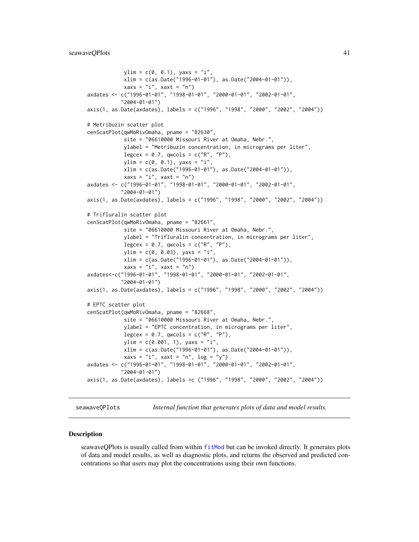```
ylim = c(0, 0.1), yax = "i",xlim = c(as.Date("1996-01-01"), as.Date("2004-01-01")),
           xaxs = "i", xaxt = "n")axdates <- c("1996-01-01", "1998-01-01", "2000-01-01", "2002-01-01",
           "2004-01-01")
axis(1, as.Date(axdates), labels = c("1996", "1998", "2000", "2002", "2004"))
# Metribuzin scatter plot
cenScatPlot(qwMoRivOmaha, pname = "82630",
           site = "06610000 Missouri River at Omaha, Nebr.",
            ylabel = "Metribuzin concentration, in micrograms per liter",
            legcex = 0.7, qwcols = c("R", "P"),
            ylim = c(0, 0.1), yax = "i"xlim = c(as.Date("1996-01-01"), as.Date("2004-01-01")),
            xaxs = "i", xaxt = "n")axdates <- c("1996-01-01", "1998-01-01", "2000-01-01", "2002-01-01",
           "2004-01-01")
axis(1, as.Date(axdates), labels = c("1996", "1998", "2000", "2002", "2004"))
# Trifluralin scatter plot
cenScatPlot(qwMoRivOmaha, pname = "82661",
            site = "06610000 Missouri River at Omaha, Nebr.",
           ylabel = "Trifluralin concentration, in micrograms per liter",
           legcex = 0.7, qwcols = c("R", "P"),
           ylim = c(0, 0.03), yax = "i"xlim = c(as.Date("1996-01-01"), as.Date("2004-01-01")),
            xaxs = "i", xaxt = "n")axdates<-c("1996-01-01", "1998-01-01", "2000-01-01", "2002-01-01",
           "2004-01-01")
axis(1, as.Date(axdates), labels = c("1996", "1998", "2000", "2002", "2004"))
# EPTC scatter plot
cenScatPlot(qwMoRivOmaha, pname = "82668",
            site = "06610000 Missouri River at Omaha, Nebr.",
           ylabel = "EPTC concentration, in micrograms per liter",
           legcex = 0.7, qwcols = c("R", "P"),
           ylim = c(0.001, 1), yaxs = "i",xlim = c(as.Date("1996-01-01"), as.Date("2004-01-01")),
            xaxs = "i", xaxt = "n", \log = "y")
axdates <- c("1996-01-01", "1998-01-01", "2000-01-01", "2002-01-01",
           "2004-01-01")
axis(1, as.Date(axdates), labels =c ("1996", "1998", "2000", "2002", "2004"))
```
<span id="page-40-1"></span>seawaveQPlots *Internal function that generates plots of data and model results.*

#### **Description**

seawaveQPlots is usually called from within [fitMod](#page-18-1) but can be invoked directly. It generates plots of data and model results, as well as diagnostic plots, and returns the observed and predicted concentrations so that users may plot the concentrations using their own functions.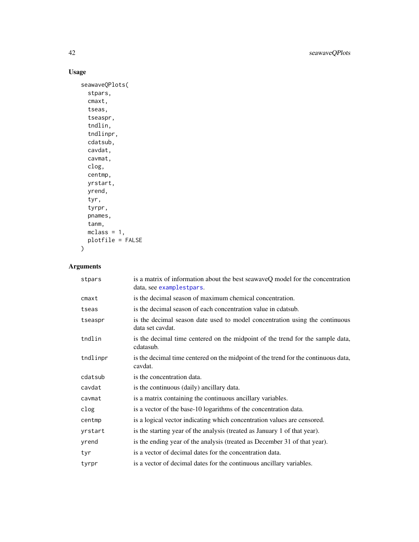# Usage

```
seawaveQPlots(
 stpars,
  cmaxt,
 tseas,
 tseaspr,
  tndlin,
  tndlinpr,
 cdatsub,
 cavdat,
 cavmat,
 clog,
 centmp,
 yrstart,
 yrend,
 tyr,
  tyrpr,
 pnames,
  tanm,
 mclass = 1,
 plotfile = FALSE
\mathcal{L}
```
# Arguments

| stpars   | is a matrix of information about the best seawaveQ model for the concentration<br>data, see examplestpars. |
|----------|------------------------------------------------------------------------------------------------------------|
| $cm$ axt | is the decimal season of maximum chemical concentration.                                                   |
| tseas    | is the decimal season of each concentration value in cdatsub.                                              |
| tseaspr  | is the decimal season date used to model concentration using the continuous<br>data set caydat.            |
| tndlin   | is the decimal time centered on the midpoint of the trend for the sample data,<br>cdatasub.                |
| tndlinpr | is the decimal time centered on the midpoint of the trend for the continuous data,<br>cavdat.              |
| cdatsub  | is the concentration data.                                                                                 |
| cavdat   | is the continuous (daily) ancillary data.                                                                  |
| cavmat   | is a matrix containing the continuous ancillary variables.                                                 |
| clog     | is a vector of the base-10 logarithms of the concentration data.                                           |
| centmp   | is a logical vector indicating which concentration values are censored.                                    |
| yrstart  | is the starting year of the analysis (treated as January 1 of that year).                                  |
| yrend    | is the ending year of the analysis (treated as December 31 of that year).                                  |
| tyr      | is a vector of decimal dates for the concentration data.                                                   |
| tyrpr    | is a vector of decimal dates for the continuous ancillary variables.                                       |

<span id="page-41-0"></span>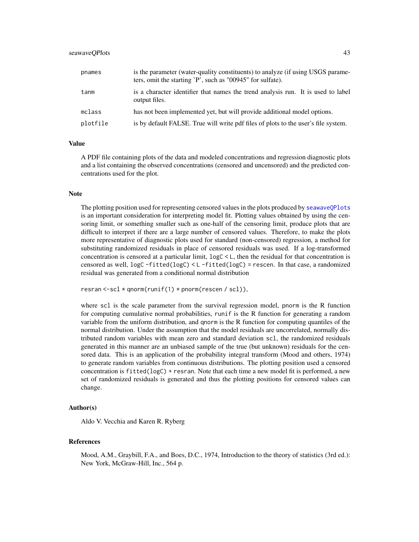#### <span id="page-42-0"></span>seawaveOPlots 43

| pnames   | is the parameter (water-quality constituents) to analyze (if using USGS parame-<br>ters, omit the starting 'P', such as "00945" for sulfate). |
|----------|-----------------------------------------------------------------------------------------------------------------------------------------------|
| tanm     | is a character identifier that names the trend analysis run. It is used to label<br>output files.                                             |
| mclass   | has not been implemented yet, but will provide additional model options.                                                                      |
| plotfile | is by default FALSE. True will write pdf files of plots to the user's file system.                                                            |

# Value

A PDF file containing plots of the data and modeled concentrations and regression diagnostic plots and a list containing the observed concentrations (censored and uncensored) and the predicted concentrations used for the plot.

#### **Note**

The plotting position used for representing censored values in the plots produced by [seawaveQPlots](#page-40-1) is an important consideration for interpreting model fit. Plotting values obtained by using the censoring limit, or something smaller such as one-half of the censoring limit, produce plots that are difficult to interpret if there are a large number of censored values. Therefore, to make the plots more representative of diagnostic plots used for standard (non-censored) regression, a method for substituting randomized residuals in place of censored residuals was used. If a log-transformed concentration is censored at a particular limit,  $logC < L$ , then the residual for that concentration is censored as well, logC -fitted(logC) < L -fitted(logC) = rescen. In that case, a randomized residual was generated from a conditional normal distribution

```
resran <-scl * qnorm(runif(1) * pnorm(rescen / scl)),
```
where scl is the scale parameter from the survival regression model, pnorm is the R function for computing cumulative normal probabilities, runif is the R function for generating a random variable from the uniform distribution, and qnorm is the R function for computing quantiles of the normal distribution. Under the assumption that the model residuals are uncorrelated, normally distributed random variables with mean zero and standard deviation scl, the randomized residuals generated in this manner are an unbiased sample of the true (but unknown) residuals for the censored data. This is an application of the probability integral transform (Mood and others, 1974) to generate random variables from continuous distributions. The plotting position used a censored concentration is fitted(logC) + resran. Note that each time a new model fit is performed, a new set of randomized residuals is generated and thus the plotting positions for censored values can change.

#### Author(s)

Aldo V. Vecchia and Karen R. Ryberg

#### References

Mood, A.M., Graybill, F.A., and Boes, D.C., 1974, Introduction to the theory of statistics (3rd ed.): New York, McGraw-Hill, Inc., 564 p.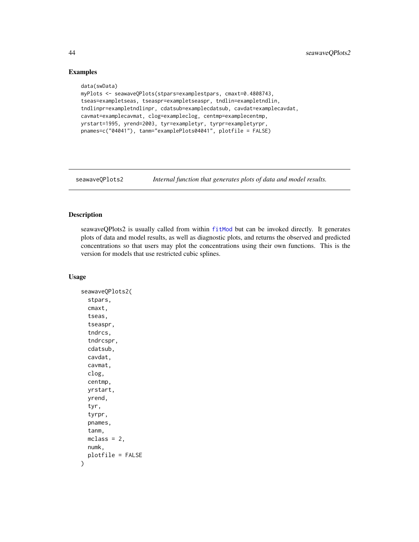# Examples

```
data(swData)
myPlots <- seawaveQPlots(stpars=examplestpars, cmaxt=0.4808743,
tseas=exampletseas, tseaspr=exampletseaspr, tndlin=exampletndlin,
tndlinpr=exampletndlinpr, cdatsub=examplecdatsub, cavdat=examplecavdat,
cavmat=examplecavmat, clog=exampleclog, centmp=examplecentmp,
yrstart=1995, yrend=2003, tyr=exampletyr, tyrpr=exampletyrpr,
pnames=c("04041"), tanm="examplePlots04041", plotfile = FALSE)
```
<span id="page-43-1"></span>seawaveQPlots2 *Internal function that generates plots of data and model results.*

# Description

seawaveQPlots2 is usually called from within [fitMod](#page-18-1) but can be invoked directly. It generates plots of data and model results, as well as diagnostic plots, and returns the observed and predicted concentrations so that users may plot the concentrations using their own functions. This is the version for models that use restricted cubic splines.

#### Usage

```
seawaveQPlots2(
  stpars,
  cmaxt,
  tseas,
  tseaspr,
  tndrcs,
  tndrcspr,
  cdatsub,
  cavdat,
  cavmat,
  clog,
  centmp,
  yrstart,
  yrend,
  tyr,
  tyrpr,
  pnames,
  tanm,
  mclass = 2,
  numk,
  plotfile = FALSE
)
```
<span id="page-43-0"></span>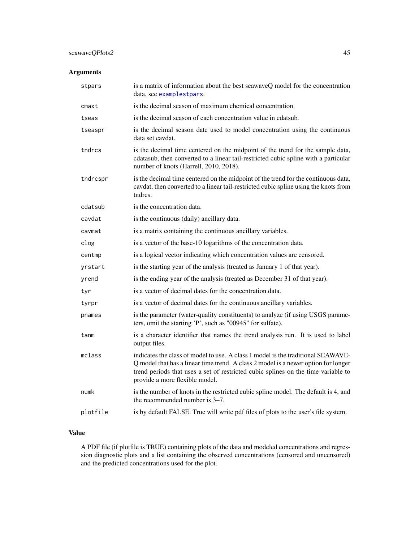# <span id="page-44-0"></span>seawaveQPlots2 45

# Arguments

| stpars                 | is a matrix of information about the best seawaveQ model for the concentration<br>data, see examplestpars.                                                                                                                                                                                    |
|------------------------|-----------------------------------------------------------------------------------------------------------------------------------------------------------------------------------------------------------------------------------------------------------------------------------------------|
| $cm$ <sub>a</sub> $xt$ | is the decimal season of maximum chemical concentration.                                                                                                                                                                                                                                      |
| tseas                  | is the decimal season of each concentration value in cdatsub.                                                                                                                                                                                                                                 |
| tseaspr                | is the decimal season date used to model concentration using the continuous<br>data set cavdat.                                                                                                                                                                                               |
| tndrcs                 | is the decimal time centered on the midpoint of the trend for the sample data,<br>cdatasub, then converted to a linear tail-restricted cubic spline with a particular<br>number of knots (Harrell, 2010, 2018).                                                                               |
| tndrcspr               | is the decimal time centered on the midpoint of the trend for the continuous data,<br>cavdat, then converted to a linear tail-restricted cubic spline using the knots from<br>tndrcs.                                                                                                         |
| cdatsub                | is the concentration data.                                                                                                                                                                                                                                                                    |
| cavdat                 | is the continuous (daily) ancillary data.                                                                                                                                                                                                                                                     |
| cavmat                 | is a matrix containing the continuous ancillary variables.                                                                                                                                                                                                                                    |
| clog                   | is a vector of the base-10 logarithms of the concentration data.                                                                                                                                                                                                                              |
| centmp                 | is a logical vector indicating which concentration values are censored.                                                                                                                                                                                                                       |
| yrstart                | is the starting year of the analysis (treated as January 1 of that year).                                                                                                                                                                                                                     |
| yrend                  | is the ending year of the analysis (treated as December 31 of that year).                                                                                                                                                                                                                     |
| tyr                    | is a vector of decimal dates for the concentration data.                                                                                                                                                                                                                                      |
| tyrpr                  | is a vector of decimal dates for the continuous ancillary variables.                                                                                                                                                                                                                          |
| pnames                 | is the parameter (water-quality constituents) to analyze (if using USGS parame-<br>ters, omit the starting 'P', such as "00945" for sulfate).                                                                                                                                                 |
| tanm                   | is a character identifier that names the trend analysis run. It is used to label<br>output files.                                                                                                                                                                                             |
| mclass                 | indicates the class of model to use. A class 1 model is the traditional SEAWAVE-<br>Q model that has a linear time trend. A class 2 model is a newer option for longer<br>trend periods that uses a set of restricted cubic splines on the time variable to<br>provide a more flexible model. |
| numk                   | is the number of knots in the restricted cubic spline model. The default is 4, and<br>the recommended number is $3-7$ .                                                                                                                                                                       |
| plotfile               | is by default FALSE. True will write pdf files of plots to the user's file system.                                                                                                                                                                                                            |

# Value

A PDF file (if plotfile is TRUE) containing plots of the data and modeled concentrations and regression diagnostic plots and a list containing the observed concentrations (censored and uncensored) and the predicted concentrations used for the plot.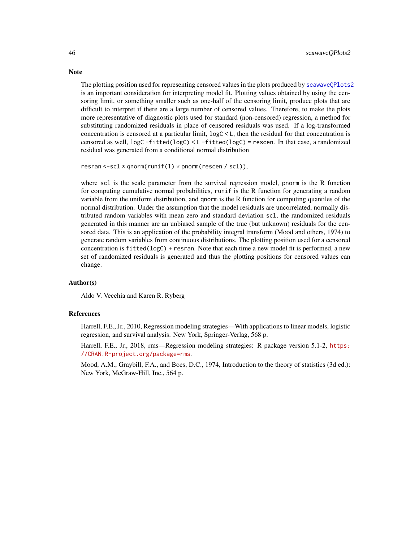The plotting position used for representing censored values in the plots produced by [seawaveQPlots2](#page-43-1) is an important consideration for interpreting model fit. Plotting values obtained by using the censoring limit, or something smaller such as one-half of the censoring limit, produce plots that are difficult to interpret if there are a large number of censored values. Therefore, to make the plots more representative of diagnostic plots used for standard (non-censored) regression, a method for substituting randomized residuals in place of censored residuals was used. If a log-transformed concentration is censored at a particular limit, logC < L, then the residual for that concentration is censored as well, logC -fitted(logC) < L -fitted(logC) = rescen. In that case, a randomized residual was generated from a conditional normal distribution

```
resran < -scl * qnorm(runif(1) * pnorm(rescen / scl)),
```
where scl is the scale parameter from the survival regression model, pnorm is the R function for computing cumulative normal probabilities, runif is the R function for generating a random variable from the uniform distribution, and qnorm is the R function for computing quantiles of the normal distribution. Under the assumption that the model residuals are uncorrelated, normally distributed random variables with mean zero and standard deviation scl, the randomized residuals generated in this manner are an unbiased sample of the true (but unknown) residuals for the censored data. This is an application of the probability integral transform (Mood and others, 1974) to generate random variables from continuous distributions. The plotting position used for a censored concentration is fitted(logC) + resran. Note that each time a new model fit is performed, a new set of randomized residuals is generated and thus the plotting positions for censored values can change.

# Author(s)

Aldo V. Vecchia and Karen R. Ryberg

#### References

Harrell, F.E., Jr., 2010, Regression modeling strategies—With applications to linear models, logistic regression, and survival analysis: New York, Springer-Verlag, 568 p.

Harrell, F.E., Jr., 2018, rms—Regression modeling strategies: R package version 5.1-2, [https:](https://CRAN.R-project.org/package=rms) [//CRAN.R-project.org/package=rms](https://CRAN.R-project.org/package=rms).

Mood, A.M., Graybill, F.A., and Boes, D.C., 1974, Introduction to the theory of statistics (3d ed.): New York, McGraw-Hill, Inc., 564 p.

<span id="page-45-0"></span>

#### **Note**